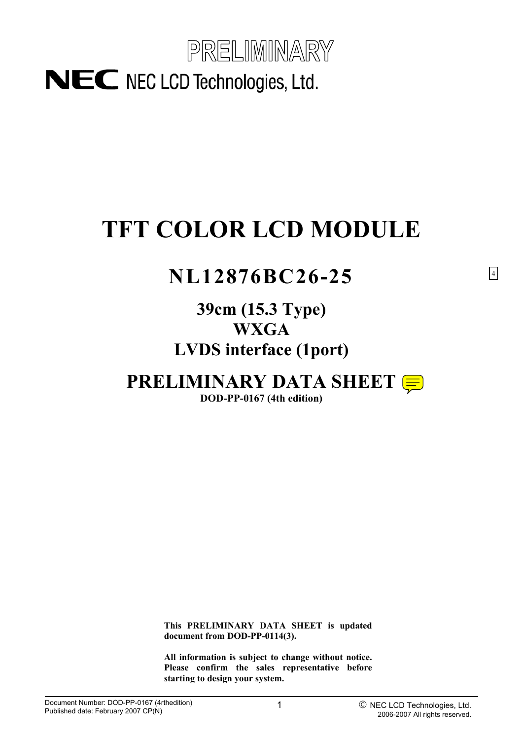

# **TFT COLOR LCD MODULE**

## **NL12876BC26-25**

## **39cm (15.3 Type) WXGA LVDS interface (1port)**

# **PRELIMINARY DATA SHEET**

**DOD-PP-0167 (4th edition)**

**This PRELIMINARY DATA SHEET is updated document from DOD-PP-0114(3).** 

**All information is subject to change without notice. Please confirm the sales representative before starting to design your system.**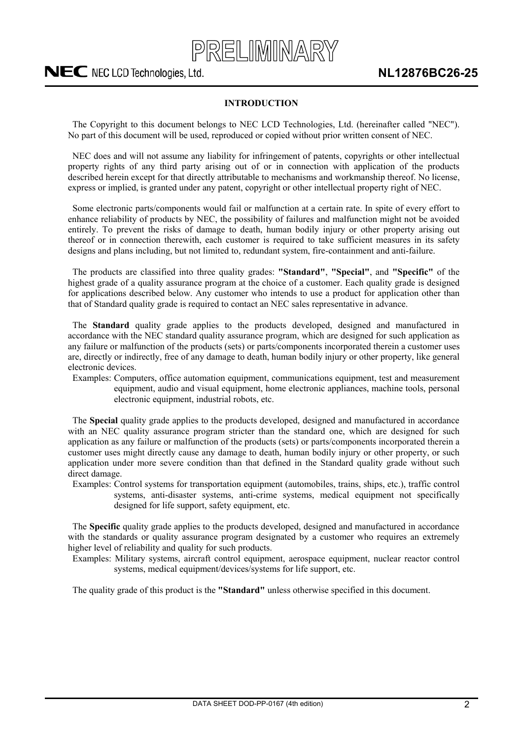

### **INTRODUCTION**

<span id="page-1-0"></span>The Copyright to this document belongs to NEC LCD Technologies, Ltd. (hereinafter called "NEC"). No part of this document will be used, reproduced or copied without prior written consent of NEC.

NEC does and will not assume any liability for infringement of patents, copyrights or other intellectual property rights of any third party arising out of or in connection with application of the products described herein except for that directly attributable to mechanisms and workmanship thereof. No license, express or implied, is granted under any patent, copyright or other intellectual property right of NEC.

Some electronic parts/components would fail or malfunction at a certain rate. In spite of every effort to enhance reliability of products by NEC, the possibility of failures and malfunction might not be avoided entirely. To prevent the risks of damage to death, human bodily injury or other property arising out thereof or in connection therewith, each customer is required to take sufficient measures in its safety designs and plans including, but not limited to, redundant system, fire-containment and anti-failure.

The products are classified into three quality grades: **"Standard"**, **"Special"**, and **"Specific"** of the highest grade of a quality assurance program at the choice of a customer. Each quality grade is designed for applications described below. Any customer who intends to use a product for application other than that of Standard quality grade is required to contact an NEC sales representative in advance.

The **Standard** quality grade applies to the products developed, designed and manufactured in accordance with the NEC standard quality assurance program, which are designed for such application as any failure or malfunction of the products (sets) or parts/components incorporated therein a customer uses are, directly or indirectly, free of any damage to death, human bodily injury or other property, like general electronic devices.

Examples: Computers, office automation equipment, communications equipment, test and measurement equipment, audio and visual equipment, home electronic appliances, machine tools, personal electronic equipment, industrial robots, etc.

The **Special** quality grade applies to the products developed, designed and manufactured in accordance with an NEC quality assurance program stricter than the standard one, which are designed for such application as any failure or malfunction of the products (sets) or parts/components incorporated therein a customer uses might directly cause any damage to death, human bodily injury or other property, or such application under more severe condition than that defined in the Standard quality grade without such direct damage.

Examples: Control systems for transportation equipment (automobiles, trains, ships, etc.), traffic control systems, anti-disaster systems, anti-crime systems, medical equipment not specifically designed for life support, safety equipment, etc.

The **Specific** quality grade applies to the products developed, designed and manufactured in accordance with the standards or quality assurance program designated by a customer who requires an extremely higher level of reliability and quality for such products.

Examples: Military systems, aircraft control equipment, aerospace equipment, nuclear reactor control systems, medical equipment/devices/systems for life support, etc.

The quality grade of this product is the **"Standard"** unless otherwise specified in this document.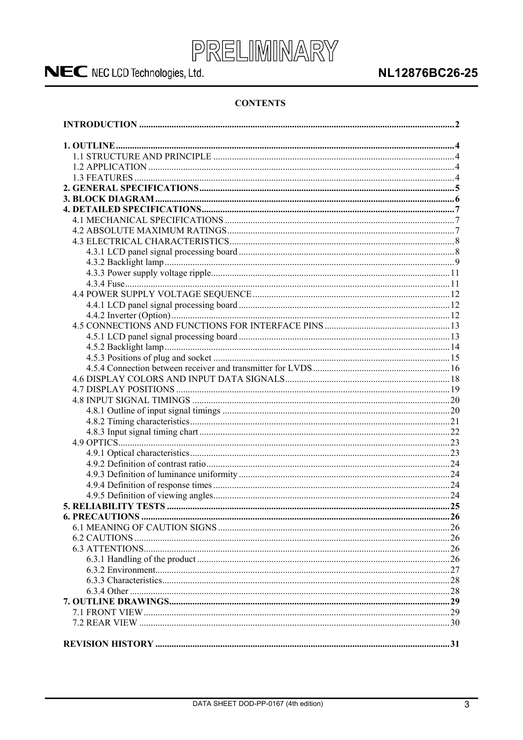

### NL12876BC26-25

### **CONTENTS**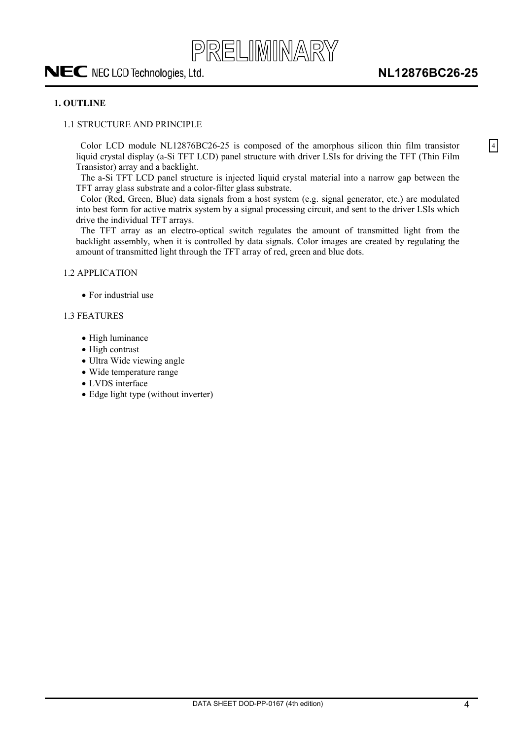## <span id="page-3-0"></span>PRELIMINARY NEC NEC LCD Technologies, Ltd.

4

#### **1. OUTLINE**

#### 1.1 STRUCTURE AND PRINCIPLE

Color LCD module NL12876BC26-25 is composed of the amorphous silicon thin film transistor liquid crystal display (a-Si TFT LCD) panel structure with driver LSIs for driving the TFT (Thin Film Transistor) array and a backlight.

The a-Si TFT LCD panel structure is injected liquid crystal material into a narrow gap between the TFT array glass substrate and a color-filter glass substrate.

Color (Red, Green, Blue) data signals from a host system (e.g. signal generator, etc.) are modulated into best form for active matrix system by a signal processing circuit, and sent to the driver LSIs which drive the individual TFT arrays.

The TFT array as an electro-optical switch regulates the amount of transmitted light from the backlight assembly, when it is controlled by data signals. Color images are created by regulating the amount of transmitted light through the TFT array of red, green and blue dots.

1.2 APPLICATION

• For industrial use

#### 1.3 FEATURES

- High luminance
- $\bullet$  High contrast
- Ultra Wide viewing angle
- Wide temperature range
- LVDS interface
- Edge light type (without inverter)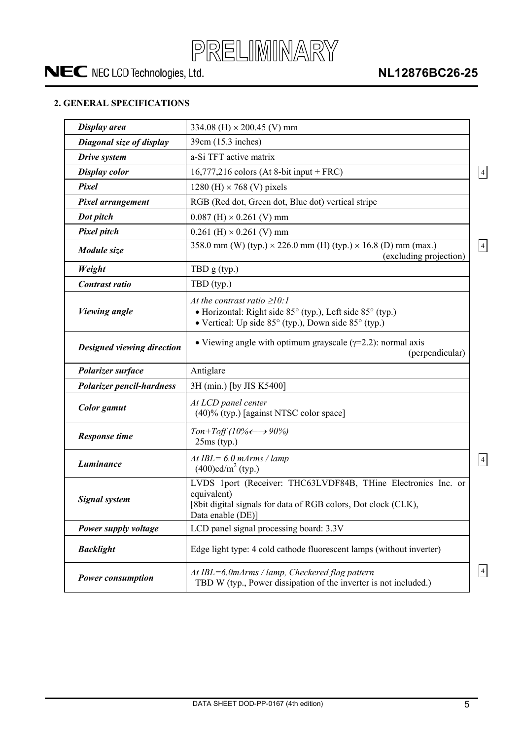

### **NL12876BC26-25**

### **2. GENERAL SPECIFICATIONS**

| Display area                     | 334.08 (H) $\times$ 200.45 (V) mm                                                                                                                                        |
|----------------------------------|--------------------------------------------------------------------------------------------------------------------------------------------------------------------------|
| Diagonal size of display         | 39cm (15.3 inches)                                                                                                                                                       |
| Drive system                     | a-Si TFT active matrix                                                                                                                                                   |
| <b>Display color</b>             | $16,777,216$ colors (At 8-bit input + FRC)                                                                                                                               |
| Pixel                            | 1280 (H) $\times$ 768 (V) pixels                                                                                                                                         |
| <b>Pixel arrangement</b>         | RGB (Red dot, Green dot, Blue dot) vertical stripe                                                                                                                       |
| Dot pitch                        | $0.087$ (H) $\times$ 0.261 (V) mm                                                                                                                                        |
| <b>Pixel pitch</b>               | $0.261$ (H) $\times$ 0.261 (V) mm                                                                                                                                        |
| Module size                      | 358.0 mm (W) (typ.) $\times$ 226.0 mm (H) (typ.) $\times$ 16.8 (D) mm (max.)<br>(excluding projection)                                                                   |
| Weight                           | TBD $g(typ.)$                                                                                                                                                            |
| Contrast ratio                   | TBD (typ.)                                                                                                                                                               |
| <b>Viewing angle</b>             | At the contrast ratio $\geq 10$ :<br>• Horizontal: Right side 85° (typ.), Left side 85° (typ.)<br>• Vertical: Up side $85^{\circ}$ (typ.), Down side $85^{\circ}$ (typ.) |
| Designed viewing direction       | • Viewing angle with optimum grayscale $(\gamma=2.2)$ : normal axis<br>(perpendicular)                                                                                   |
| Polarizer surface                | Antiglare                                                                                                                                                                |
| <b>Polarizer pencil-hardness</b> | 3H (min.) [by JIS K5400]                                                                                                                                                 |
| <b>Color</b> gamut               | At LCD panel center<br>(40)% (typ.) [against NTSC color space]                                                                                                           |
| <b>Response time</b>             | $Ton+Toff(10\% \leftarrow \rightarrow 90\%)$<br>$25ms$ (typ.)                                                                                                            |
| Luminance                        | At IBL= $6.0$ mArms / lamp<br>$(400)$ cd/m <sup>2</sup> (typ.)                                                                                                           |
| <b>Signal system</b>             | LVDS 1port (Receiver: THC63LVDF84B, THine Electronics Inc. or<br>equivalent)<br>[8bit digital signals for data of RGB colors, Dot clock (CLK),<br>Data enable (DE)]      |
| Power supply voltage             | LCD panel signal processing board: 3.3V                                                                                                                                  |
| <b>Backlight</b>                 | Edge light type: 4 cold cathode fluorescent lamps (without inverter)                                                                                                     |
| <b>Power consumption</b>         | At IBL=6.0mArms / lamp, Checkered flag pattern<br>TBD W (typ., Power dissipation of the inverter is not included.)                                                       |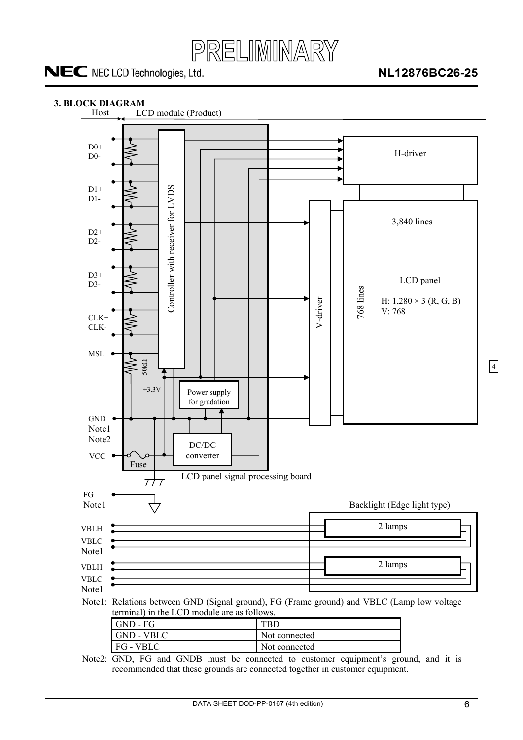

### **NL12876BC26-25**

<span id="page-5-0"></span>

Note2: GND, FG and GNDB must be connected to customer equipment's ground, and it is recommended that these grounds are connected together in customer equipment.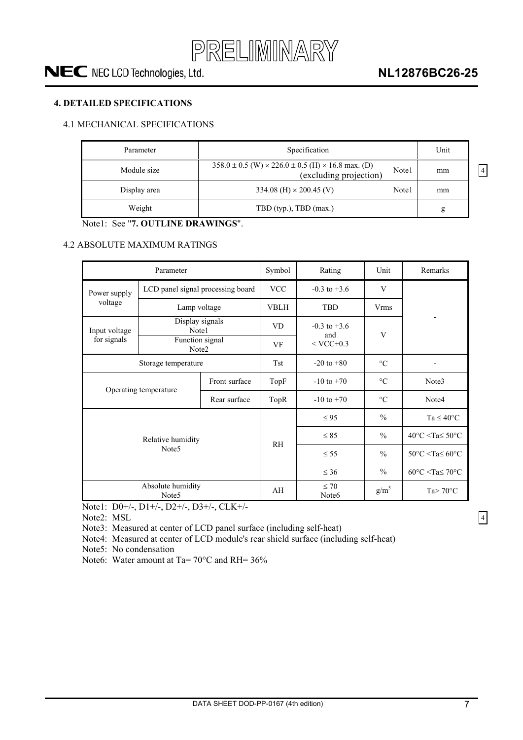

### <span id="page-6-0"></span>**4. DETAILED SPECIFICATIONS**

### 4.1 MECHANICAL SPECIFICATIONS

| Parameter    | Specification                                                                                     |       | Unit |
|--------------|---------------------------------------------------------------------------------------------------|-------|------|
| Module size  | $358.0 \pm 0.5$ (W) $\times$ 226.0 $\pm$ 0.5 (H) $\times$ 16.8 max. (D)<br>(excluding projection) | Note1 | mm   |
| Display area | 334.08 (H) $\times$ 200.45 (V)                                                                    | Note1 | mm   |
| Weight       | TBD (typ.), TBD (max.)                                                                            |       | g    |

Note1: See "**7. OUTLINE DRAWINGS**".

#### 4.2 ABSOLUTE MAXIMUM RATINGS

|                                           | Parameter                              | Symbol       | Rating                         | Unit               | Remarks             |                                                    |
|-------------------------------------------|----------------------------------------|--------------|--------------------------------|--------------------|---------------------|----------------------------------------------------|
| Power supply                              | LCD panel signal processing board      |              | <b>VCC</b>                     | $-0.3$ to $+3.6$   | V                   |                                                    |
| voltage                                   | Lamp voltage                           |              | <b>VBLH</b>                    | <b>TBD</b>         | <b>Vrms</b>         |                                                    |
| Display signals<br>Note1<br>Input voltage |                                        |              | <b>VD</b>                      | $-0.3$ to $+3.6$   |                     |                                                    |
| for signals                               | Function signal<br>Note2               |              | VF                             | and<br>$<$ VCC+0.3 | V                   |                                                    |
| Storage temperature                       |                                        |              | <b>Tst</b>                     | $-20$ to $+80$     | $\rm ^{\circ}C$     | $\blacksquare$                                     |
| Front surface                             |                                        |              | TopF                           | $-10$ to $+70$     | $\circ$ C           | Note3                                              |
| Operating temperature                     |                                        | Rear surface | TopR                           | $-10$ to $+70$     | $\circ$ C           | Note4                                              |
|                                           |                                        |              |                                | $\leq$ 95          | $\frac{0}{0}$       | $Ta \leq 40^{\circ}C$                              |
| Relative humidity<br>Note <sub>5</sub>    |                                        |              | <b>RH</b>                      | $\leq 85$          | $\frac{0}{0}$       | $40^{\circ}$ C <ta<math>\leq 50^{\circ}C</ta<math> |
|                                           |                                        |              |                                | $\leq$ 55          | $\frac{0}{0}$       | $50^{\circ}$ C <ta<math>\leq 60^{\circ}C</ta<math> |
|                                           |                                        |              |                                | $\leq 36$          | $\frac{0}{0}$       | $60^{\circ}$ C <ta<math>\leq 70^{\circ}C</ta<math> |
|                                           | Absolute humidity<br>Note <sub>5</sub> | AH           | $\leq 70$<br>Note <sub>6</sub> | $g/m^3$            | Ta $> 70^{\circ}$ C |                                                    |

Note1: D0+/-, D1+/-, D2+/-, D3+/-, CLK+/-

Note2: MSL

Note3: Measured at center of LCD panel surface (including self-heat)

Note4: Measured at center of LCD module's rear shield surface (including self-heat)

Note5: No condensation

Note6: Water amount at Ta= 70°C and RH= 36%

4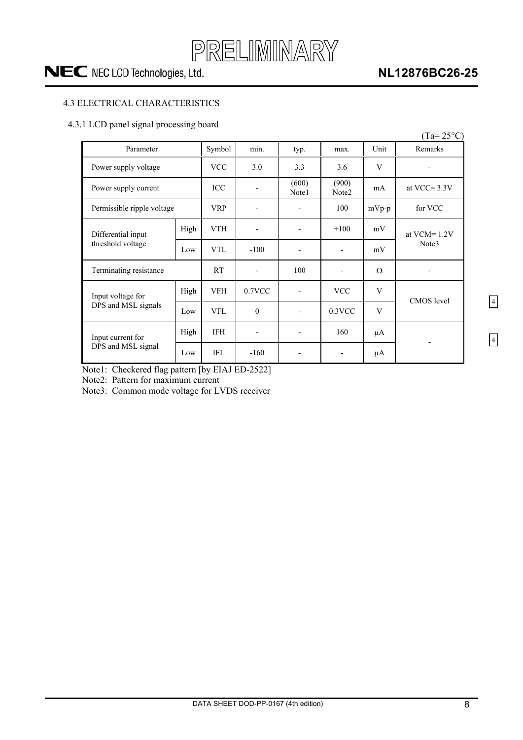

### **NL12876BC26-25**

### <span id="page-7-0"></span>4.3 ELECTRICAL CHARACTERISTICS

#### 4.3.1 LCD panel signal processing board

|                            |      |            |                |                          |                          |         | $(Ta=25^{\circ}C)$ |
|----------------------------|------|------------|----------------|--------------------------|--------------------------|---------|--------------------|
| Parameter                  |      | Symbol     | min.           | typ.                     | max.                     | Unit    | Remarks            |
| Power supply voltage       |      | <b>VCC</b> | 3.0            | 3.3                      | 3.6                      | V       |                    |
| Power supply current       |      | ICC        |                | (600)<br>Note1           | (900)<br>Note2           | mA      | at VCC= $3.3V$     |
| Permissible ripple voltage |      | <b>VRP</b> |                | -                        | 100                      | $mVp-p$ | for VCC            |
| Differential input         | High | <b>VTH</b> | $\overline{a}$ | $\overline{\phantom{0}}$ | $+100$                   | mV      | at $VCM = 1.2V$    |
| threshold voltage          | Low  | <b>VTL</b> | $-100$         | $\overline{\phantom{a}}$ | $\overline{\phantom{a}}$ | mV      | Note3              |
| Terminating resistance     |      | <b>RT</b>  |                | 100                      |                          | Ω       |                    |
| Input voltage for          | High | <b>VFH</b> | $0.7$ VCC      | $\overline{\phantom{a}}$ | <b>VCC</b>               | V       | <b>CMOS</b> level  |
| DPS and MSL signals        | Low  | <b>VFL</b> | $\mathbf{0}$   | $\overline{\phantom{a}}$ | $0.3$ VCC                | V       |                    |
| Input current for          | High | <b>IFH</b> |                | -                        | 160                      | μA      |                    |
| DPS and MSL signal         | Low  | <b>IFL</b> | $-160$         | $\overline{\phantom{0}}$ |                          | μA      |                    |

Note1: Checkered flag pattern [by EIAJ ED-2522]

Note2: Pattern for maximum current

Note3: Common mode voltage for LVDS receiver

4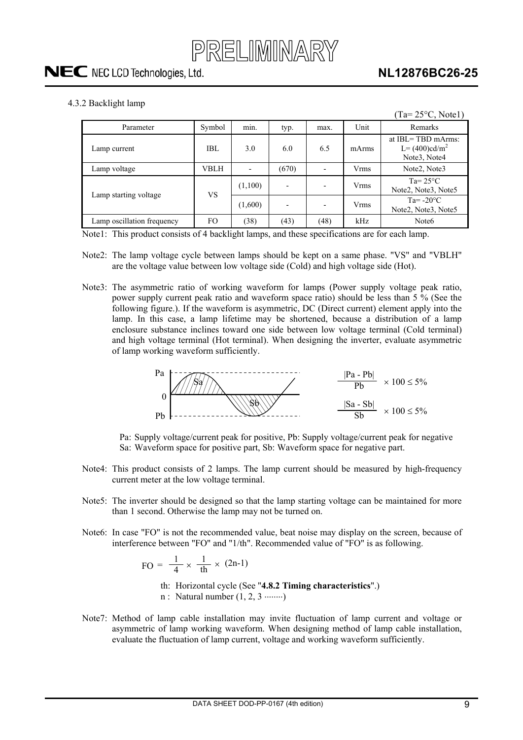

<span id="page-8-0"></span>4.3.2 Backlight lamp

|                            |        |         |       |      |             | $(Ta=25\textdegree C, Note1)$                                                           |
|----------------------------|--------|---------|-------|------|-------------|-----------------------------------------------------------------------------------------|
| Parameter                  | Symbol | min.    | typ.  | max. | Unit        | Remarks                                                                                 |
| Lamp current               | IBL    | 3.0     | 6.0   | 6.5  | mArms       | at IBL=TBD mArms:<br>$L = (400) \text{cd/m}^2$<br>Note <sub>3</sub> , Note <sub>4</sub> |
| Lamp voltage               | VBLH   |         | (670) |      | <b>Vrms</b> | Note2, Note3                                                                            |
| Lamp starting voltage      | VS     | (1,100) |       |      | <b>Vrms</b> | $Ta = 25^{\circ}C$<br>Note2, Note3, Note5                                               |
|                            |        | (1,600) |       |      | <b>Vrms</b> | Ta= $-20^{\circ}$ C<br>Note2, Note3, Note5                                              |
| Lamp oscillation frequency | FO.    | (38)    | (43)  | (48) | kHz         | Note <sub>6</sub>                                                                       |

Note1: This product consists of 4 backlight lamps, and these specifications are for each lamp.

- Note2: The lamp voltage cycle between lamps should be kept on a same phase. "VS" and "VBLH" are the voltage value between low voltage side (Cold) and high voltage side (Hot).
- Note3: The asymmetric ratio of working waveform for lamps (Power supply voltage peak ratio, power supply current peak ratio and waveform space ratio) should be less than 5 % (See the following figure.). If the waveform is asymmetric, DC (Direct current) element apply into the lamp. In this case, a lamp lifetime may be shortened, because a distribution of a lamp enclosure substance inclines toward one side between low voltage terminal (Cold terminal) and high voltage terminal (Hot terminal). When designing the inverter, evaluate asymmetric of lamp working waveform sufficiently.



Pa: Supply voltage/current peak for positive, Pb: Supply voltage/current peak for negative Sa: Waveform space for positive part, Sb: Waveform space for negative part.

- Note4: This product consists of 2 lamps. The lamp current should be measured by high-frequency current meter at the low voltage terminal.
- Note5: The inverter should be designed so that the lamp starting voltage can be maintained for more than 1 second. Otherwise the lamp may not be turned on.
- Note6: In case "FO" is not the recommended value, beat noise may display on the screen, because of interference between "FO" and "1/th". Recommended value of "FO" is as following.

$$
FO = \frac{1}{4} \times \frac{1}{th} \times (2n-1)
$$

th: Horizontal cycle (See "**4.8.2 Timing characteristics**".)

 $n$ : Natural number  $(1, 2, 3 \dots)$ 

Note7: Method of lamp cable installation may invite fluctuation of lamp current and voltage or asymmetric of lamp working waveform. When designing method of lamp cable installation, evaluate the fluctuation of lamp current, voltage and working waveform sufficiently.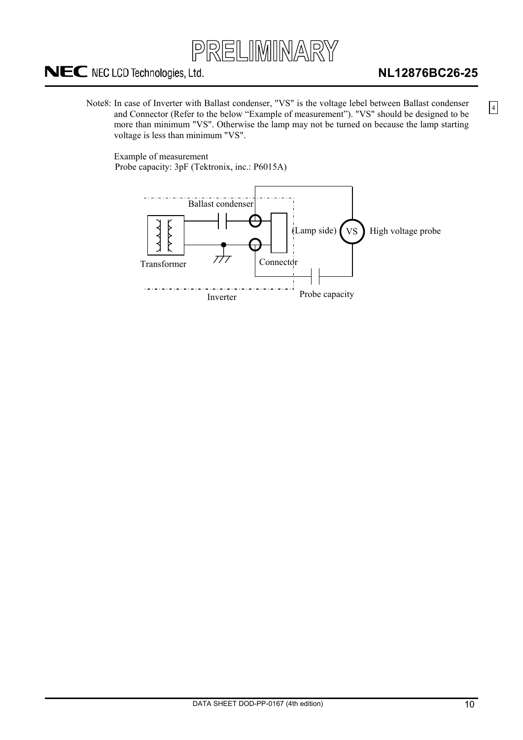

### **NL12876BC26-25**

4

Note8: In case of Inverter with Ballast condenser, "VS" is the voltage lebel between Ballast condenser and Connector (Refer to the below "Example of measurement"). "VS" should be designed to be more than minimum "VS". Otherwise the lamp may not be turned on because the lamp starting voltage is less than minimum "VS".

Example of measurement Probe capacity: 3pF (Tektronix, inc.: P6015A)

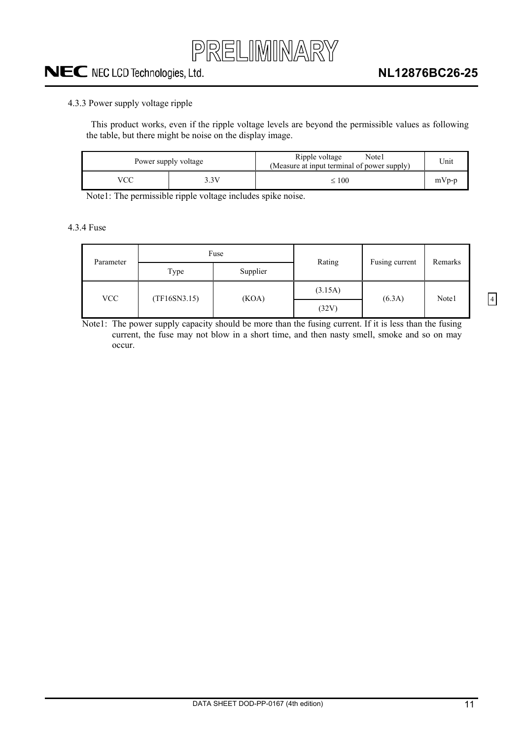

#### <span id="page-10-0"></span>4.3.3 Power supply voltage ripple

This product works, even if the ripple voltage levels are beyond the permissible values as following the table, but there might be noise on the display image.

| Power supply voltage |      | Ripple voltage<br>Note1<br>(Measure at input terminal of power supply) | Unit    |
|----------------------|------|------------------------------------------------------------------------|---------|
| vcc                  | . 3V | $\leq 100$                                                             | $mVp-p$ |

Note1: The permissible ripple voltage includes spike noise.

4.3.4 Fuse

| Parameter |              | Fuse     | Rating  | Fusing current | Remarks |  |
|-----------|--------------|----------|---------|----------------|---------|--|
|           | Type         | Supplier |         |                |         |  |
| VCC       | (TF16SN3.15) | (KOA)    | (3.15A) |                |         |  |
|           |              |          | (32V)   | (6.3A)         | Note1   |  |

Note1: The power supply capacity should be more than the fusing current. If it is less than the fusing current, the fuse may not blow in a short time, and then nasty smell, smoke and so on may occur.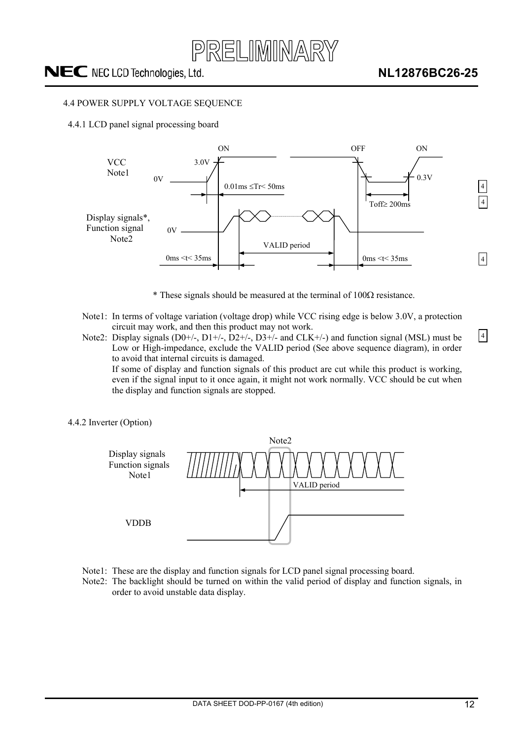

#### <span id="page-11-0"></span>4.4 POWER SUPPLY VOLTAGE SEQUENCE

4.4.1 LCD panel signal processing board



- $*$  These signals should be measured at the terminal of 100 $\Omega$  resistance.
- Note1: In terms of voltage variation (voltage drop) while VCC rising edge is below 3.0V, a protection circuit may work, and then this product may not work.
- Note2: Display signals  $(D0+/-, D1+/-, D2+/-, D3+/-$  and  $CLK+/-$ ) and function signal (MSL) must be Low or High-impedance, exclude the VALID period (See above sequence diagram), in order to avoid that internal circuits is damaged. If some of display and function signals of this product are cut while this product is working,

even if the signal input to it once again, it might not work normally. VCC should be cut when the display and function signals are stopped.

4.4.2 Inverter (Option)



- Note1: These are the display and function signals for LCD panel signal processing board.
- Note2: The backlight should be turned on within the valid period of display and function signals, in order to avoid unstable data display.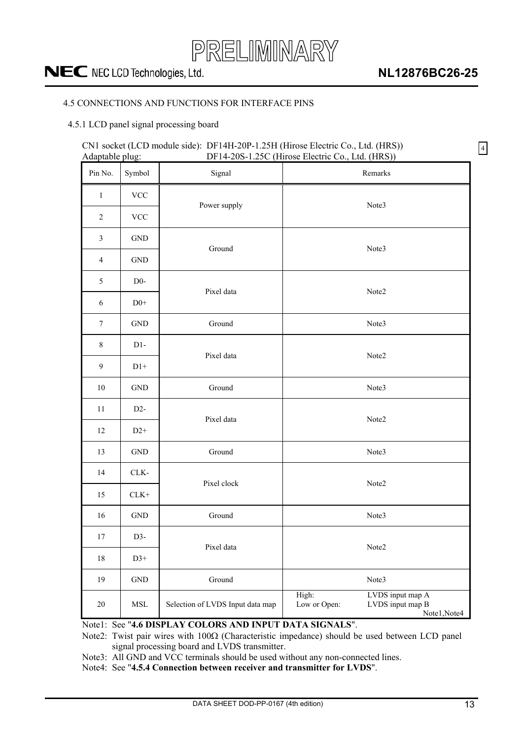

4

### <span id="page-12-0"></span>4.5 CONNECTIONS AND FUNCTIONS FOR INTERFACE PINS

### 4.5.1 LCD panel signal processing board

### CN1 socket (LCD module side): DF14H-20P-1.25H (Hirose Electric Co., Ltd. (HRS)) Adaptable plug: DF14-20S-1.25C (Hirose Electric Co., Ltd. (HRS))

| Pin No.          | Symbol                        | Signal                           | Remarks                                                                       |  |  |
|------------------|-------------------------------|----------------------------------|-------------------------------------------------------------------------------|--|--|
| $\mathbf{1}$     | $\ensuremath{\text{VCC}}$     |                                  | Note3                                                                         |  |  |
| $\sqrt{2}$       | $\ensuremath{\text{VCC}}$     | Power supply                     |                                                                               |  |  |
| $\mathfrak{Z}$   | $\operatorname{GND}$          | Ground                           |                                                                               |  |  |
| $\overline{4}$   | $\operatorname{GND}$          |                                  | Note3                                                                         |  |  |
| $\mathfrak{S}$   | $D0-$                         | Pixel data                       | Note2                                                                         |  |  |
| $\sqrt{6}$       | $\mathrm{D}0^+$               |                                  |                                                                               |  |  |
| $\boldsymbol{7}$ | <b>GND</b>                    | Ground                           | Note3                                                                         |  |  |
| $8\,$            | $D1-$                         | Pixel data                       | Note2                                                                         |  |  |
| 9                | $D1+$                         |                                  |                                                                               |  |  |
| $10\,$           | $\operatorname{GND}$          | Ground                           | Note3                                                                         |  |  |
| 11               | $D2-$                         | Pixel data                       | Note2                                                                         |  |  |
| 12               | $D2+$                         |                                  |                                                                               |  |  |
| 13               | $\operatorname{GND}$          | Ground                           | Note3                                                                         |  |  |
| 14               | CLK-                          | Pixel clock                      | Note2                                                                         |  |  |
| 15               | $CLK+$                        |                                  |                                                                               |  |  |
| 16               | $\operatorname{GND}$          | Ground                           | Note3                                                                         |  |  |
| 17               | D3-                           | Pixel data                       | Note2                                                                         |  |  |
| $18\,$           | $D3+$                         |                                  |                                                                               |  |  |
| 19               | $\operatorname{GND}$          | Ground                           | Note3                                                                         |  |  |
| $20\,$           | $\operatorname{\mathsf{MSL}}$ | Selection of LVDS Input data map | High:<br>LVDS input map A<br>Low or Open:<br>LVDS input map B<br>Note1, Note4 |  |  |

Note1: See "**4.6 DISPLAY COLORS AND INPUT DATA SIGNALS**".

Note2: Twist pair wires with  $100\Omega$  (Characteristic impedance) should be used between LCD panel signal processing board and LVDS transmitter.

Note3: All GND and VCC terminals should be used without any non-connected lines.

Note4: See "**4.5.4 Connection between receiver and transmitter for LVDS**".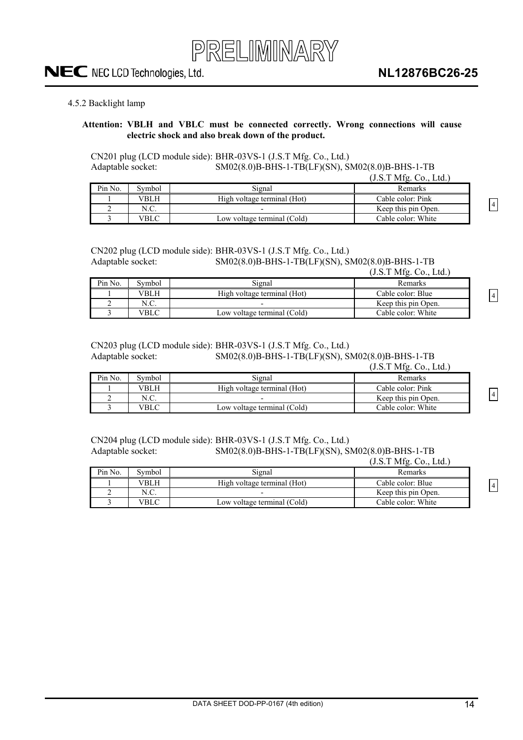

#### <span id="page-13-0"></span>4.5.2 Backlight lamp

#### **Attention: VBLH and VBLC must be connected correctly. Wrong connections will cause electric shock and also break down of the product.**

CN201 plug (LCD module side): BHR-03VS-1 (J.S.T Mfg. Co., Ltd.) Adaptable socket: SM02(8.0)B-BHS-1-TB(LF)(SN), SM02(8.0)B-BHS-1-TB

|         |        |                             | (J.S.T Mfg. Co., Ltd.) |
|---------|--------|-----------------------------|------------------------|
| Pin No. | Symbol | Signal                      | <b>Remarks</b>         |
|         | VBLH.  | High voltage terminal (Hot) | Cable color: Pink      |
|         | N.C.   |                             | Keep this pin Open.    |
|         | VBLC   | Low voltage terminal (Cold) | Cable color: White     |

CN202 plug (LCD module side): BHR-03VS-1 (J.S.T Mfg. Co., Ltd.)

Adaptable socket: SM02(8.0)B-BHS-1-TB(LF)(SN), SM02(8.0)B-BHS-1-TB<br>(LS TMfs. Gs. Ltd.)  $(TCTMC, C)$ 

|         |        |                             | $(3.5.1 \text{ MHz}, \text{CO}, \text{L} \text{U})$ |
|---------|--------|-----------------------------|-----------------------------------------------------|
| Pin No. | Symbol | Signal                      | Remarks                                             |
|         | VBLH   | High voltage terminal (Hot) | Cable color: Blue                                   |
|         |        |                             | Keep this pin Open.                                 |
|         | VBLC   | Low voltage terminal (Cold) | Cable color: White                                  |

CN203 plug (LCD module side): BHR-03VS-1 (J.S.T Mfg. Co., Ltd.)

Adaptable socket: SM02(8.0)B-BHS-1-TB(LF)(SN), SM02(8.0)B-BHS-1-TB  $(TCTMC, C, T+1)$ 

|         |        |                             | $(1.5.1 \text{ MHz}, C0.,$<br>Lta. |
|---------|--------|-----------------------------|------------------------------------|
| Pin No. | Symbol | Signal                      | Remarks                            |
|         | VBLH   | High voltage terminal (Hot) | Cable color: Pink                  |
|         | N.C.   |                             | Keep this pin Open.                |
|         | VBLC   | Low voltage terminal (Cold) | Cable color: White                 |

CN204 plug (LCD module side): BHR-03VS-1 (J.S.T Mfg. Co., Ltd.) Adaptable socket: SM02(8.0)B-BHS-1-TB(LF)(SN), SM02(8.0)B-BHS-1-TB  $(1 \times TM6$  Co., Ltd.)

|         |        |                             | $(3.5.1 \text{ MHz}, \text{CO}, \text{L} \text{U})$ |
|---------|--------|-----------------------------|-----------------------------------------------------|
| Pin No. | Symbol | Signal                      | Remarks                                             |
|         | VBLH   | High voltage terminal (Hot) | Cable color: Blue                                   |
|         | N.C.   |                             | Keep this pin Open.                                 |
|         | VBLC   | Low voltage terminal (Cold) | Cable color: White                                  |

4

4

4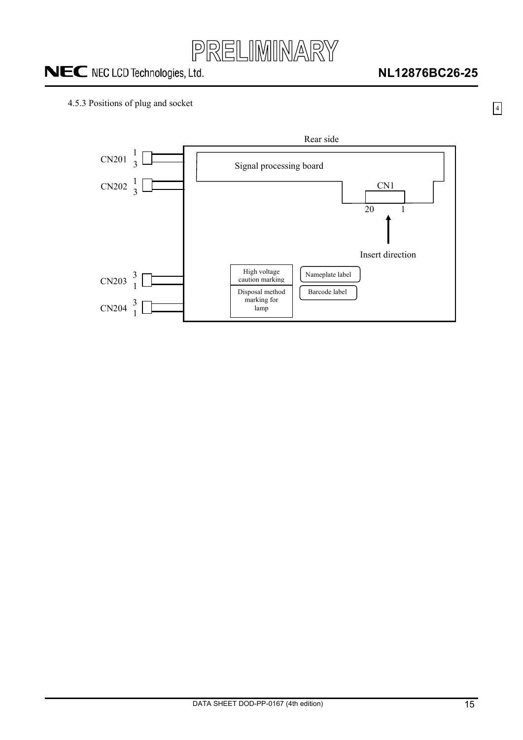

4

### <span id="page-14-0"></span>4.5.3 Positions of plug and socket

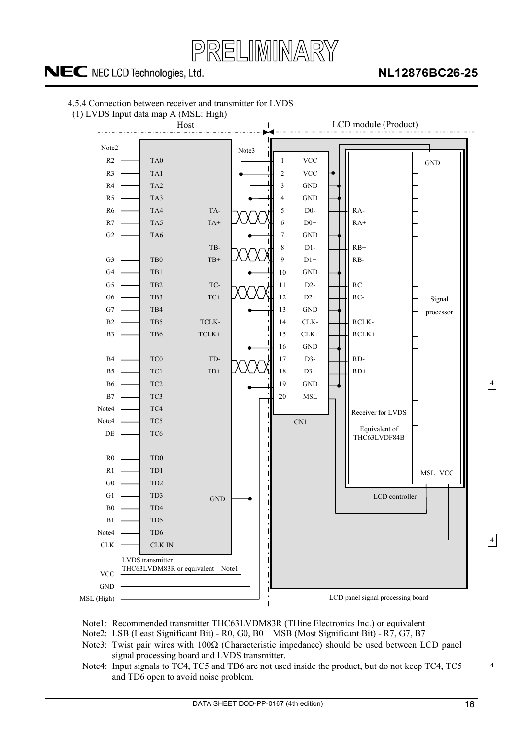

### **NL12876BC26-25**



<span id="page-15-0"></span>4.5.4 Connection between receiver and transmitter for LVDS

Note1: Recommended transmitter THC63LVDM83R (THine Electronics Inc.) or equivalent

Note2: LSB (Least Significant Bit) - R0, G0, B0 MSB (Most Significant Bit) - R7, G7, B7

- Note3: Twist pair wires with  $100\Omega$  (Characteristic impedance) should be used between LCD panel signal processing board and LVDS transmitter.
- Note4: Input signals to TC4, TC5 and TD6 are not used inside the product, but do not keep TC4, TC5 and TD6 open to avoid noise problem.

4

4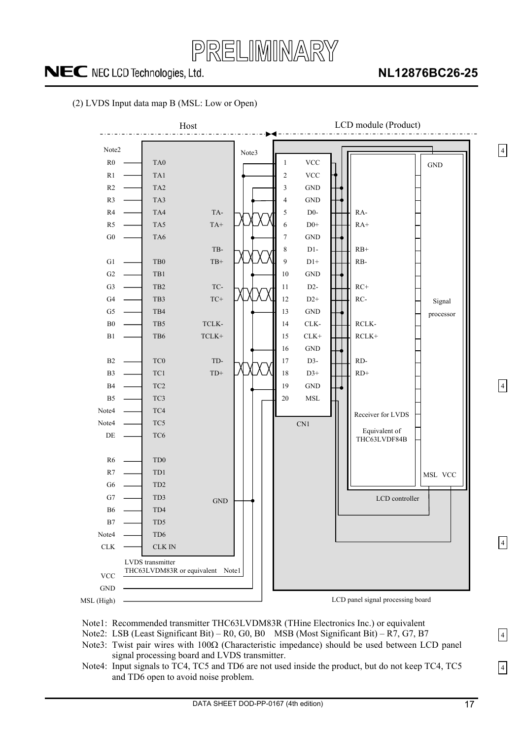PRELIMINARY

## NEC NEC LCD Technologies, Ltd.

### **NL12876BC26-25**





- Note1: Recommended transmitter THC63LVDM83R (THine Electronics Inc.) or equivalent
- Note2: LSB (Least Significant Bit) R0, G0, B0 MSB (Most Significant Bit) R7, G7, B7
- Note3: Twist pair wires with  $100\Omega$  (Characteristic impedance) should be used between LCD panel signal processing board and LVDS transmitter.
- Note4: Input signals to TC4, TC5 and TD6 are not used inside the product, but do not keep TC4, TC5 and TD6 open to avoid noise problem.

4

4

4

4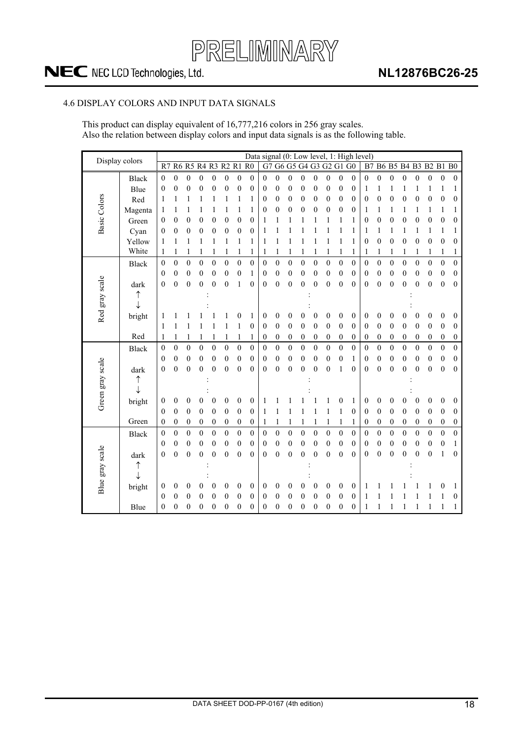

### <span id="page-17-0"></span>4.6 DISPLAY COLORS AND INPUT DATA SIGNALS

This product can display equivalent of 16,777,216 colors in 256 gray scales. Also the relation between display colors and input data signals is as the following table.

| Display colors      |              |                  |                  |                  |                  |                  |                  |                  |                  |                  |                  |                  |                  |                      |                  |                  |                  | Data signal (0: Low level, 1: High level) |                  |                  |                  |                  |                  |                  |                  |
|---------------------|--------------|------------------|------------------|------------------|------------------|------------------|------------------|------------------|------------------|------------------|------------------|------------------|------------------|----------------------|------------------|------------------|------------------|-------------------------------------------|------------------|------------------|------------------|------------------|------------------|------------------|------------------|
|                     |              | R7               |                  | <b>R6 R5</b>     | <b>R4 R3</b>     |                  |                  | <b>R2 R1 R0</b>  |                  | G7               |                  |                  |                  | G6 G5 G4 G3 G2 G1 G0 |                  |                  |                  | B7                                        |                  | <b>B6 B5</b>     | <b>B4 B3</b>     |                  | <b>B2 B1 B0</b>  |                  |                  |
|                     | <b>Black</b> | $\mathbf{0}$     | $\boldsymbol{0}$ | $\boldsymbol{0}$ | $\boldsymbol{0}$ | $\boldsymbol{0}$ | $\boldsymbol{0}$ | $\boldsymbol{0}$ | $\boldsymbol{0}$ | $\boldsymbol{0}$ | $\boldsymbol{0}$ | $\boldsymbol{0}$ | $\boldsymbol{0}$ | $\boldsymbol{0}$     | $\boldsymbol{0}$ | $\mathbf{0}$     | $\theta$         | $\boldsymbol{0}$                          | $\boldsymbol{0}$ | $\boldsymbol{0}$ | $\boldsymbol{0}$ | $\boldsymbol{0}$ | $\boldsymbol{0}$ | $\boldsymbol{0}$ | $\boldsymbol{0}$ |
|                     | Blue         | $\theta$         | 0                | $\boldsymbol{0}$ | $\boldsymbol{0}$ | $\boldsymbol{0}$ | 0                | $\boldsymbol{0}$ | 0                | $\boldsymbol{0}$ | $\boldsymbol{0}$ | $\boldsymbol{0}$ | $\mathbf{0}$     | 0                    | $\boldsymbol{0}$ | $\boldsymbol{0}$ | $\boldsymbol{0}$ | 1                                         | 1                | 1                | 1                | 1                | 1                | 1                | 1                |
| <b>Basic Colors</b> | Red          | 1                | 1                | 1                | 1                |                  | 1                | 1                | 1                | $\boldsymbol{0}$ | $\boldsymbol{0}$ | $\boldsymbol{0}$ | $\boldsymbol{0}$ | $\boldsymbol{0}$     | $\boldsymbol{0}$ | $\boldsymbol{0}$ | $\boldsymbol{0}$ | $\boldsymbol{0}$                          | $\boldsymbol{0}$ | $\boldsymbol{0}$ | $\boldsymbol{0}$ | $\boldsymbol{0}$ | $\boldsymbol{0}$ | $\boldsymbol{0}$ | $\boldsymbol{0}$ |
|                     | Magenta      | 1                | 1                | 1                | 1                | 1                | 1                | 1                | 1                | $\boldsymbol{0}$ | $\overline{0}$   | $\boldsymbol{0}$ | $\boldsymbol{0}$ | $\boldsymbol{0}$     | $\boldsymbol{0}$ | $\boldsymbol{0}$ | $\boldsymbol{0}$ | 1                                         | 1                | 1                | 1                | 1                | 1                | 1                | 1                |
|                     | Green        | 0                | 0                | $\boldsymbol{0}$ | $\boldsymbol{0}$ | $\boldsymbol{0}$ | $\boldsymbol{0}$ | $\boldsymbol{0}$ | $\boldsymbol{0}$ | 1                | 1                | 1                | 1                | 1                    | 1                | 1                | 1                | 0                                         | $\boldsymbol{0}$ | $\boldsymbol{0}$ | $\boldsymbol{0}$ | $\boldsymbol{0}$ | $\boldsymbol{0}$ | $\boldsymbol{0}$ | $\boldsymbol{0}$ |
|                     | Cyan         | 0                | 0                | $\boldsymbol{0}$ | 0                | $\boldsymbol{0}$ | 0                | $\boldsymbol{0}$ | $\boldsymbol{0}$ | 1                |                  | 1                |                  |                      |                  | 1                | 1                | 1                                         | 1                | 1                | 1                | 1                | 1                | 1                | 1                |
|                     | Yellow       | 1                | 1                | 1                | 1                | 1                | 1                | 1                | 1                | 1                | 1                | 1                | 1                | 1                    | 1                | 1                | 1                | $\boldsymbol{0}$                          | $\boldsymbol{0}$ | $\boldsymbol{0}$ | $\boldsymbol{0}$ | $\boldsymbol{0}$ | $\boldsymbol{0}$ | $\boldsymbol{0}$ | 0                |
|                     | White        | 1                | 1                | 1                | 1                | 1                | 1                | 1                | 1                | 1                | 1                | 1                | 1                | 1                    | 1                | 1                | 1                | 1                                         | 1                | 1                | 1                | 1                | 1                | 1                | 1                |
|                     | Black        | $\mathbf{0}$     | $\boldsymbol{0}$ | $\mathbf{0}$     | $\mathbf{0}$     | $\overline{0}$   | $\mathbf{0}$     | $\mathbf{0}$     | $\mathbf{0}$     | $\boldsymbol{0}$ | $\overline{0}$   | $\mathbf{0}$     | $\mathbf{0}$     | $\mathbf{0}$         | $\mathbf{0}$     | $\overline{0}$   | $\mathbf{0}$     | $\mathbf{0}$                              | $\overline{0}$   | $\mathbf{0}$     | $\mathbf{0}$     | $\mathbf{0}$     | $\mathbf{0}$     | $\mathbf{0}$     | $\overline{0}$   |
|                     |              | $\boldsymbol{0}$ | 0                | $\boldsymbol{0}$ | $\overline{0}$   | $\boldsymbol{0}$ | 0                | $\mathbf{0}$     | 1                | 0                | $\mathbf{0}$     | $\boldsymbol{0}$ | $\overline{0}$   | 0                    | $\boldsymbol{0}$ | $\overline{0}$   | $\mathbf{0}$     | $\boldsymbol{0}$                          | $\overline{0}$   | $\boldsymbol{0}$ | 0                | $\boldsymbol{0}$ | $\mathbf{0}$     | $\mathbf{0}$     | 0                |
|                     | dark         | $\boldsymbol{0}$ | $\boldsymbol{0}$ | $\boldsymbol{0}$ | $\overline{0}$   | $\boldsymbol{0}$ | $\boldsymbol{0}$ | 1                | $\boldsymbol{0}$ | $\boldsymbol{0}$ | $\boldsymbol{0}$ | $\boldsymbol{0}$ | $\overline{0}$   | $\boldsymbol{0}$     | $\boldsymbol{0}$ | $\boldsymbol{0}$ | $\boldsymbol{0}$ | $\boldsymbol{0}$                          | $\boldsymbol{0}$ | $\boldsymbol{0}$ | $\overline{0}$   | $\boldsymbol{0}$ | $\boldsymbol{0}$ | $\boldsymbol{0}$ | $\boldsymbol{0}$ |
|                     | ↑            |                  |                  |                  |                  |                  |                  |                  |                  |                  |                  |                  |                  |                      |                  |                  |                  |                                           |                  |                  |                  |                  |                  |                  |                  |
|                     | ↓            |                  |                  |                  |                  |                  |                  |                  |                  |                  |                  |                  |                  |                      |                  |                  |                  |                                           |                  |                  |                  |                  |                  |                  |                  |
| Red gray scale      | bright       | 1                |                  |                  |                  |                  | 1                | 0                | 1                | $\boldsymbol{0}$ | 0                | 0                | 0                | 0                    | $\boldsymbol{0}$ | $\boldsymbol{0}$ | $\boldsymbol{0}$ | $\boldsymbol{0}$                          | 0                | $\overline{0}$   | 0                | 0                | $\boldsymbol{0}$ | 0                | $\boldsymbol{0}$ |
|                     |              | 1                | 1                | 1                | 1                | 1                | 1                | 1                | $\overline{0}$   | $\boldsymbol{0}$ | $\boldsymbol{0}$ | $\boldsymbol{0}$ | $\mathbf{0}$     | $\overline{0}$       | $\mathbf{0}$     | $\overline{0}$   | $\mathbf{0}$     | $\boldsymbol{0}$                          | $\overline{0}$   | $\mathbf{0}$     | $\mathbf{0}$     | $\mathbf{0}$     | $\mathbf{0}$     | $\boldsymbol{0}$ | 0                |
|                     | Red          | 1                | 1                | 1                | 1                | 1                | 1                | $\mathbf{1}$     | 1                | $\boldsymbol{0}$ | $\boldsymbol{0}$ | $\boldsymbol{0}$ | $\boldsymbol{0}$ | 0                    | $\boldsymbol{0}$ | $\boldsymbol{0}$ | $\boldsymbol{0}$ | $\boldsymbol{0}$                          | $\boldsymbol{0}$ | $\boldsymbol{0}$ | $\boldsymbol{0}$ | 0                | $\boldsymbol{0}$ | $\boldsymbol{0}$ | $\boldsymbol{0}$ |
|                     | Black        | $\mathbf{0}$     | $\mathbf{0}$     | $\mathbf{0}$     | $\overline{0}$   | $\boldsymbol{0}$ | $\boldsymbol{0}$ | $\mathbf{0}$     | $\mathbf{0}$     | $\boldsymbol{0}$ | $\boldsymbol{0}$ | $\boldsymbol{0}$ | $\overline{0}$   | $\boldsymbol{0}$     | $\boldsymbol{0}$ | $\overline{0}$   | $\mathbf{0}$     | $\boldsymbol{0}$                          | $\theta$         | $\boldsymbol{0}$ | $\theta$         | $\boldsymbol{0}$ | $\theta$         | $\mathbf{0}$     | $\mathbf{0}$     |
|                     |              | $\mathbf{0}$     | 0                | $\boldsymbol{0}$ | $\mathbf{0}$     | $\boldsymbol{0}$ | $\boldsymbol{0}$ | $\boldsymbol{0}$ | $\theta$         | $\boldsymbol{0}$ | $\boldsymbol{0}$ | $\boldsymbol{0}$ | $\boldsymbol{0}$ | $\boldsymbol{0}$     | $\boldsymbol{0}$ | $\overline{0}$   | 1                | $\mathbf{0}$                              | $\boldsymbol{0}$ | $\boldsymbol{0}$ | $\mathbf{0}$     | $\mathbf{0}$     | $\boldsymbol{0}$ | $\boldsymbol{0}$ | $\boldsymbol{0}$ |
|                     | dark         | $\overline{0}$   | $\overline{0}$   | $\overline{0}$   | $\overline{0}$   | $\mathbf{0}$     | $\overline{0}$   | $\overline{0}$   | $\overline{0}$   | $\mathbf{0}$     | $\overline{0}$   | $\boldsymbol{0}$ | $\overline{0}$   | $\overline{0}$       | $\mathbf{0}$     | $\mathbf{1}$     | $\mathbf{0}$     | $\mathbf{0}$                              | $\overline{0}$   | $\boldsymbol{0}$ | $\overline{0}$   | $\overline{0}$   | $\mathbf{0}$     | $\mathbf{0}$     | $\boldsymbol{0}$ |
|                     | ↑            |                  |                  |                  |                  |                  |                  |                  |                  |                  |                  |                  |                  |                      |                  |                  |                  |                                           |                  |                  |                  |                  |                  |                  |                  |
| Green gray scale    |              |                  |                  |                  |                  |                  |                  |                  |                  |                  |                  |                  |                  |                      |                  |                  |                  |                                           |                  |                  |                  |                  |                  |                  |                  |
|                     | bright       | 0                | 0                | $\boldsymbol{0}$ | 0                | 0                | 0                | $\boldsymbol{0}$ | $\boldsymbol{0}$ | 1                |                  |                  |                  |                      | 1                | 0                | 1                | 0                                         | 0                | 0                | 0                | 0                | $\boldsymbol{0}$ | $\boldsymbol{0}$ | $\boldsymbol{0}$ |
|                     |              | $\theta$         | $\boldsymbol{0}$ | $\boldsymbol{0}$ | $\mathbf{0}$     | $\theta$         | $\boldsymbol{0}$ | $\boldsymbol{0}$ | $\theta$         | 1                | 1                | 1                | 1                | 1                    | 1                | 1                | $\boldsymbol{0}$ | $\boldsymbol{0}$                          | $\boldsymbol{0}$ | $\boldsymbol{0}$ | $\mathbf{0}$     | $\mathbf{0}$     | $\mathbf{0}$     | $\boldsymbol{0}$ | $\boldsymbol{0}$ |
|                     | Green        | 0                | 0                | $\boldsymbol{0}$ | $\boldsymbol{0}$ | $\boldsymbol{0}$ | $\boldsymbol{0}$ | $\boldsymbol{0}$ | $\boldsymbol{0}$ | 1                | 1                | 1                | 1                | 1                    | 1                | 1                | 1                | $\boldsymbol{0}$                          | $\boldsymbol{0}$ | $\boldsymbol{0}$ | $\boldsymbol{0}$ | $\boldsymbol{0}$ | $\boldsymbol{0}$ | $\boldsymbol{0}$ | $\boldsymbol{0}$ |
|                     | Black        | 0                | 0                | $\boldsymbol{0}$ | $\mathbf{0}$     | $\boldsymbol{0}$ | $\boldsymbol{0}$ | $\boldsymbol{0}$ | $\mathbf{0}$     | $\boldsymbol{0}$ | $\boldsymbol{0}$ | $\boldsymbol{0}$ | $\mathbf{0}$     | $\boldsymbol{0}$     | $\mathbf{0}$     | $\mathbf{0}$     | $\mathbf{0}$     | $\boldsymbol{0}$                          | $\overline{0}$   | $\mathbf{0}$     | $\mathbf{0}$     | $\boldsymbol{0}$ | $\mathbf{0}$     | $\mathbf{0}$     | $\overline{0}$   |
| Blue gray scale     |              | $\mathbf{0}$     | 0                | $\boldsymbol{0}$ | $\mathbf{0}$     | $\boldsymbol{0}$ | $\boldsymbol{0}$ | $\mathbf{0}$     | $\mathbf{0}$     | $\boldsymbol{0}$ | $\overline{0}$   | $\boldsymbol{0}$ | $\mathbf{0}$     | 0                    | $\mathbf{0}$     | $\boldsymbol{0}$ | $\mathbf{0}$     | 0                                         | $\boldsymbol{0}$ | $\boldsymbol{0}$ | $\boldsymbol{0}$ | $\boldsymbol{0}$ | $\boldsymbol{0}$ | $\mathbf{0}$     | 1                |
|                     | dark         | $\boldsymbol{0}$ | $\overline{0}$   | $\mathbf{0}$     | $\overline{0}$   | $\overline{0}$   | $\boldsymbol{0}$ | $\boldsymbol{0}$ | $\mathbf{0}$     | $\boldsymbol{0}$ | $\boldsymbol{0}$ | $\boldsymbol{0}$ | $\overline{0}$   | $\overline{0}$       | $\boldsymbol{0}$ | $\overline{0}$   | $\mathbf{0}$     | $\boldsymbol{0}$                          | $\boldsymbol{0}$ | $\mathbf{0}$     | 0                | $\boldsymbol{0}$ | $\boldsymbol{0}$ | $\mathbf{1}$     | $\boldsymbol{0}$ |
|                     | ↑            |                  |                  |                  |                  |                  |                  |                  |                  |                  |                  |                  |                  |                      |                  |                  |                  |                                           |                  |                  |                  |                  |                  |                  |                  |
|                     |              |                  |                  |                  |                  |                  |                  |                  |                  |                  |                  |                  |                  |                      |                  |                  |                  |                                           |                  |                  |                  |                  |                  |                  |                  |
|                     | bright       | 0                | 0                | $\boldsymbol{0}$ | 0                | 0                | 0                | 0                | $\mathbf{0}$     | 0                | 0                | 0                | 0                | 0                    | 0                | 0                | $\theta$         | 1                                         |                  |                  |                  |                  | 1                | 0                | 1                |
|                     |              | $\theta$         | 0                | $\boldsymbol{0}$ | $\overline{0}$   | $\boldsymbol{0}$ | 0                | 0                | $\boldsymbol{0}$ | 0                | 0                | $\boldsymbol{0}$ | $\overline{0}$   | 0                    | $\boldsymbol{0}$ | $\boldsymbol{0}$ | $\mathbf{0}$     | 1                                         |                  |                  |                  |                  |                  | 1                | 0                |
|                     | Blue         | $\overline{0}$   | $\overline{0}$   | $\overline{0}$   | $\overline{0}$   | $\mathbf{0}$     | $\boldsymbol{0}$ | $\overline{0}$   | $\mathbf{0}$     | $\mathbf{0}$     | $\mathbf{0}$     | $\theta$         | $\overline{0}$   | 0                    | $\boldsymbol{0}$ | $\boldsymbol{0}$ | $\mathbf{0}$     | 1                                         |                  | 1                | 1                | 1                | 1                | 1                | 1                |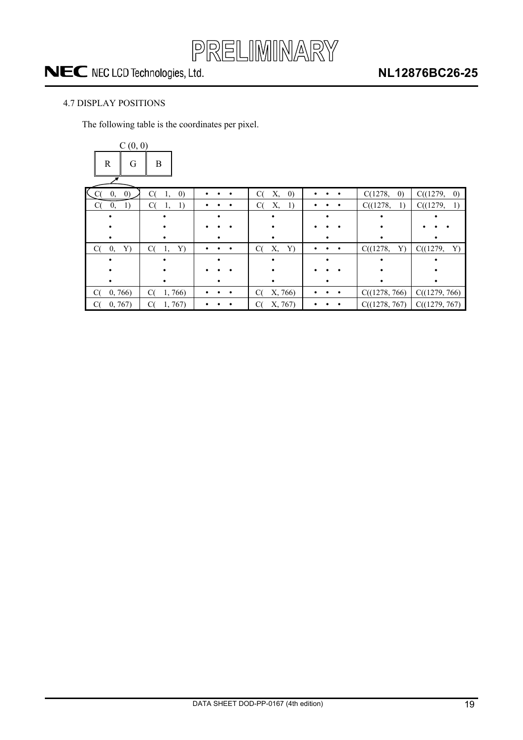

### <span id="page-18-0"></span>4.7 DISPLAY POSITIONS

The following table is the coordinates per pixel.

| C(0, 0)                      |                               |                |                               |                |                              |                               |
|------------------------------|-------------------------------|----------------|-------------------------------|----------------|------------------------------|-------------------------------|
| $\mathbb{R}$<br>G            | B                             |                |                               |                |                              |                               |
| K<br>$\left( 0\right)$<br>0, | C(<br>$\left( 0\right)$<br>1, | $\bullet$      | C(<br>Х,<br>$\left( 0\right)$ | $\bullet$      | $\left( 0\right)$<br>C(1278, | C((1279,<br>$\left( 0\right)$ |
| 1)<br>C(<br>0,               | C(<br>1)<br>1,                |                | C(<br>Х,<br>1)                | ٠              | C((1278,<br>1)               | C((1279,<br>1)                |
|                              |                               |                |                               |                |                              |                               |
|                              |                               |                |                               |                |                              |                               |
|                              |                               |                |                               |                |                              |                               |
| C(<br>0,<br>Y)               | C(<br>1,<br>Y)                | $\bullet$<br>٠ | C(<br>Х,<br>Y)                | ٠<br>$\bullet$ | C((1278,<br>Y)               | C((1279,<br>Y)                |
|                              |                               |                |                               |                |                              |                               |
|                              |                               |                |                               |                |                              |                               |
|                              |                               |                |                               |                |                              |                               |
| 0, 766<br>C(                 | 1,766<br>C(                   |                | X, 766)<br>C(                 | $\bullet$      | C((1278, 766)                | C((1279, 766)                 |
| 0, 767                       | 1, 767<br>С(                  |                | X, 767)<br>C(                 | $\bullet$      | C((1278, 767)                | C((1279, 767)                 |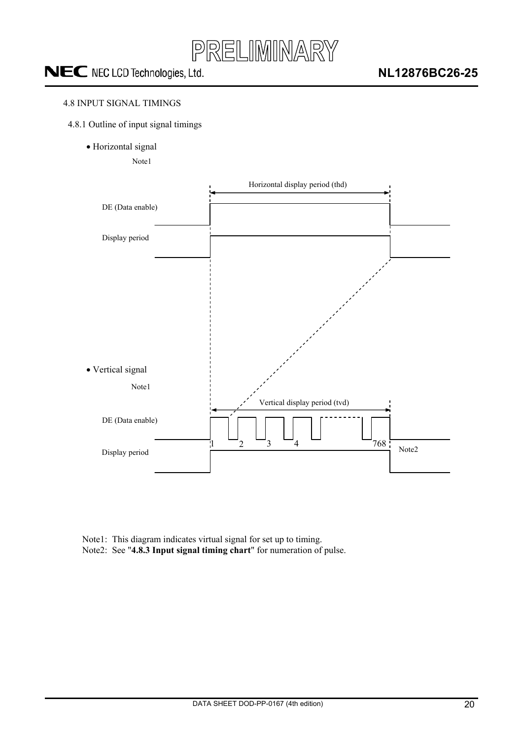

### <span id="page-19-0"></span>4.8 INPUT SIGNAL TIMINGS

- 4.8.1 Outline of input signal timings
	- · Horizontal signal

Note1



Note1: This diagram indicates virtual signal for set up to timing. Note2: See "**4.8.3 Input signal timing chart**" for numeration of pulse.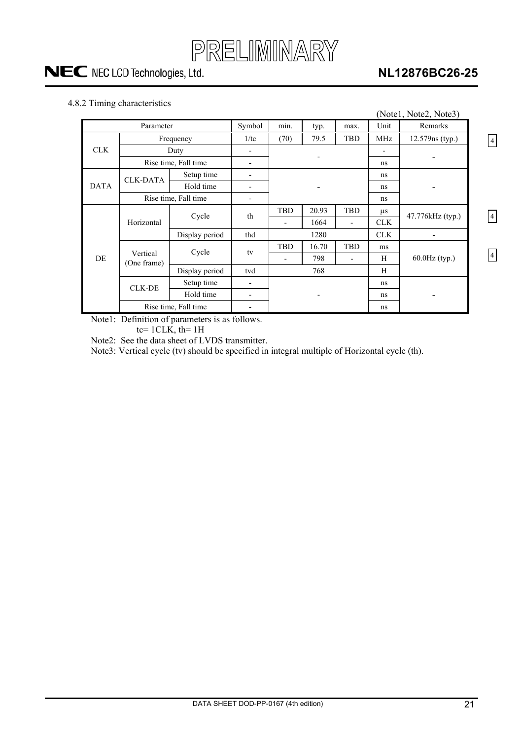

### **NL12876BC26-25**

4

4

4

### <span id="page-20-0"></span>4.8.2 Timing characteristics

|             |                         |                      |                          |                          |            |                          |                 | (Note1, Note2, Note3) |  |
|-------------|-------------------------|----------------------|--------------------------|--------------------------|------------|--------------------------|-----------------|-----------------------|--|
| Parameter   |                         |                      | Symbol                   | min.                     | typ.       | max.                     | Unit            | Remarks               |  |
|             | Frequency               | 1/tc                 | (70)                     | 79.5                     | <b>TBD</b> | MHz                      | 12.579ns (typ.) |                       |  |
| <b>CLK</b>  |                         | Duty                 |                          |                          |            |                          |                 |                       |  |
|             |                         | Rise time, Fall time | $\overline{\phantom{0}}$ |                          |            |                          | ns              |                       |  |
|             | <b>CLK-DATA</b>         | Setup time           | $\overline{\phantom{0}}$ |                          |            |                          | ns              |                       |  |
| <b>DATA</b> |                         | Hold time            |                          |                          |            |                          | ns              |                       |  |
|             |                         | Rise time, Fall time | $\overline{\phantom{a}}$ |                          |            |                          | ns              |                       |  |
|             |                         | Cycle                | th                       | <b>TBD</b>               | 20.93      | <b>TBD</b>               | $\mu$ s         | 47.776kHz (typ.)      |  |
|             | Horizontal              |                      |                          | -                        | 1664       | $\overline{\phantom{a}}$ | <b>CLK</b>      |                       |  |
|             |                         | Display period       | thd                      |                          | 1280       |                          |                 |                       |  |
|             |                         | Cycle                | tv                       | TBD                      | 16.70      | <b>TBD</b>               | ms              |                       |  |
| DE          | Vertical<br>(One frame) |                      |                          |                          | 798        | $\overline{\phantom{a}}$ | H               | $60.0$ Hz $(typ.)$    |  |
|             |                         | Display period       | tvd                      | 768                      |            |                          | H               |                       |  |
|             | <b>CLK-DE</b>           | Setup time           |                          |                          |            |                          | ns              |                       |  |
|             |                         | Hold time            | $\overline{\phantom{0}}$ | $\overline{\phantom{0}}$ |            | ns                       |                 |                       |  |
|             |                         | Rise time, Fall time |                          |                          |            |                          | ns              |                       |  |

Note1: Definition of parameters is as follows.

tc=  $1CLK$ , th=  $1H$ 

Note2: See the data sheet of LVDS transmitter.

Note3: Vertical cycle (tv) should be specified in integral multiple of Horizontal cycle (th).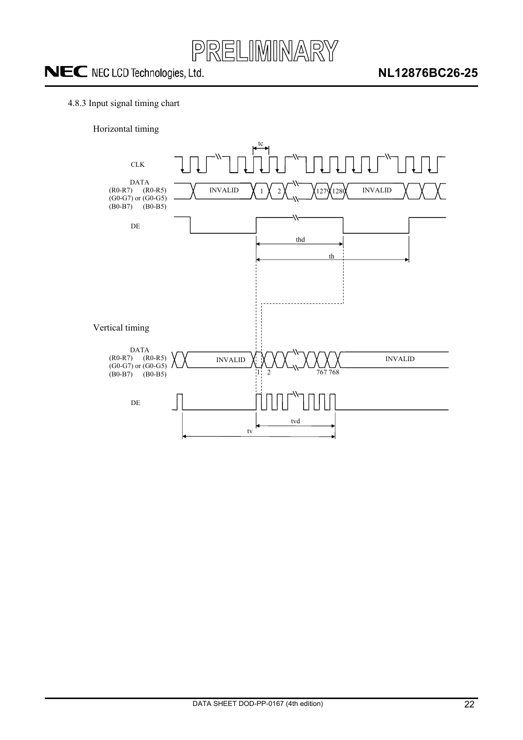

### <span id="page-21-0"></span>4.8.3 Input signal timing chart

Horizontal timing

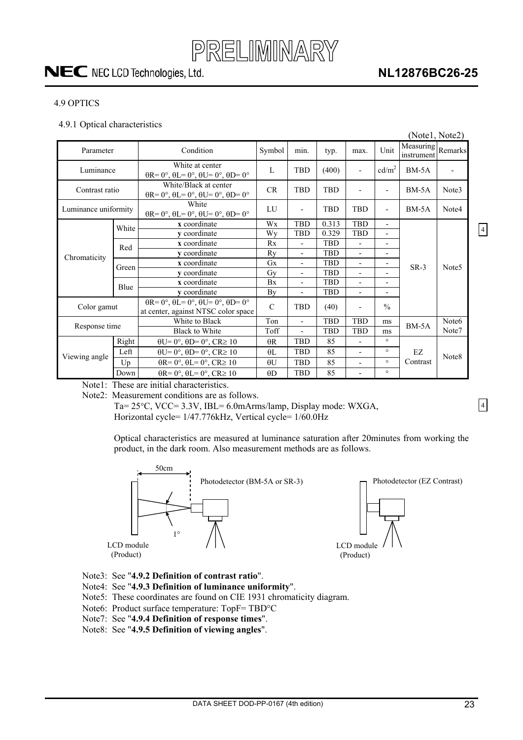

### **NL12876BC26-25**

#### <span id="page-22-0"></span>4.9 OPTICS

#### 4.9.1 Optical characteristics

|                      |                      |                                                                                                       |               |                              |            |                          |                          | (Notel, Note2)                  |                   |                |
|----------------------|----------------------|-------------------------------------------------------------------------------------------------------|---------------|------------------------------|------------|--------------------------|--------------------------|---------------------------------|-------------------|----------------|
| Parameter            |                      | Condition                                                                                             | Symbol        | min.                         | typ.       | max.                     | Unit                     | Measuring Remarks<br>instrument |                   |                |
| Luminance            |                      | White at center<br>$\theta$ R= 0°, $\theta$ L= 0°, $\theta$ U= 0°, $\theta$ D= 0°                     | L             | <b>TBD</b>                   | (400)      | $\overline{a}$           | cd/m <sup>2</sup>        | $BM-5A$                         |                   |                |
| Contrast ratio       |                      | White/Black at center<br>$\theta$ R= 0°, $\theta$ L= 0°, $\theta$ U= 0°, $\theta$ D= 0°               | <b>CR</b>     | <b>TBD</b>                   | <b>TBD</b> | $\overline{a}$           | $\overline{\phantom{0}}$ | $BM-5A$                         | Note3             |                |
| Luminance uniformity |                      | White<br>$\theta$ R= 0°, $\theta$ L= 0°, $\theta$ U= 0°, $\theta$ D= 0°                               | LU            | $\qquad \qquad \blacksquare$ | <b>TBD</b> | <b>TBD</b>               | $\overline{\phantom{a}}$ | $BM-5A$                         | Note4             |                |
|                      | White                | x coordinate                                                                                          | Wx            | <b>TBD</b>                   | 0.313      | <b>TBD</b>               | ٠                        |                                 |                   |                |
|                      |                      | y coordinate                                                                                          | Wy            | <b>TBD</b>                   | 0.329      | <b>TBD</b>               | $\overline{a}$           |                                 |                   | $\overline{4}$ |
|                      | Red<br>Green<br>Blue | x coordinate                                                                                          | Rx            | $\overline{\phantom{a}}$     | <b>TBD</b> | $\overline{a}$           | $\overline{a}$           |                                 |                   |                |
| Chromaticity         |                      | v coordinate                                                                                          | Rv            | $\overline{\phantom{a}}$     | <b>TBD</b> | $\overline{a}$           | $\overline{\phantom{0}}$ |                                 |                   |                |
|                      |                      | x coordinate                                                                                          | <b>Gx</b>     | $\overline{\phantom{a}}$     | <b>TBD</b> | $\overline{\phantom{0}}$ | $\overline{\phantom{0}}$ | $SR-3$                          | Note <sub>5</sub> |                |
|                      |                      | v coordinate                                                                                          | Gv            | $\overline{\phantom{a}}$     | <b>TBD</b> | $\overline{\phantom{0}}$ |                          |                                 |                   |                |
|                      |                      | x coordinate                                                                                          | Bx            | $\overline{\phantom{a}}$     | <b>TBD</b> | $\overline{\phantom{0}}$ | $\overline{\phantom{0}}$ |                                 |                   |                |
|                      |                      | y coordinate                                                                                          | By            | $\blacksquare$               | <b>TBD</b> | $\overline{\phantom{a}}$ | $\blacksquare$           |                                 |                   |                |
| Color gamut          |                      | $\theta$ R= 0°, $\theta$ L= 0°, $\theta$ U= 0°, $\theta$ D= 0°<br>at center, against NTSC color space | $\mathcal{C}$ | <b>TBD</b>                   | (40)       | $\overline{a}$           | $\frac{0}{0}$            |                                 |                   |                |
| Response time        |                      | White to Black                                                                                        | Ton           | $\overline{\phantom{a}}$     | <b>TBD</b> | <b>TBD</b>               | ms                       | $BM-5A$                         | Note <sub>6</sub> |                |
|                      |                      | <b>Black to White</b>                                                                                 | Toff          |                              | <b>TBD</b> | <b>TBD</b>               | ms                       |                                 | Note7             |                |
|                      | Right                | $\theta U = 0^\circ$ , $\theta D = 0^\circ$ , $CR \ge 10$                                             | $\theta$ R    | <b>TBD</b>                   | 85         | $\overline{a}$           | $\circ$                  |                                 |                   |                |
|                      | Left                 | $\theta U = 0^\circ$ , $\theta D = 0^\circ$ , $CR \ge 10$                                             | $\theta$ L    | <b>TBD</b>                   | 85         | $\overline{\phantom{a}}$ | $\circ$                  | EZ                              |                   |                |
| Viewing angle        | Up                   | $\theta$ R= 0°, $\theta$ L= 0°, CR≥ 10                                                                | $\theta$ U    | <b>TBD</b>                   | 85         | $\overline{\phantom{a}}$ | $\circ$                  | Contrast                        | Note8             |                |
|                      | Down                 | $\theta$ R= 0°, $\theta$ L= 0°, CR≥ 10                                                                | $\theta$ D    | <b>TBD</b>                   | 85         | $\overline{\phantom{a}}$ | $\circ$                  |                                 |                   |                |

Note1: These are initial characteristics.

Note2: Measurement conditions are as follows.

Ta=  $25^{\circ}$ C, VCC=  $3.3V$ , IBL=  $6.0$ mArms/lamp, Display mode: WXGA, Horizontal cycle= 1/47.776kHz, Vertical cycle= 1/60.0Hz

Optical characteristics are measured at luminance saturation after 20minutes from working the product, in the dark room. Also measurement methods are as follows.



- Note3: See "**4.9.2 Definition of contrast ratio**".
- Note4: See "**4.9.3 Definition of luminance uniformity**".
- Note5: These coordinates are found on CIE 1931 chromaticity diagram.
- Note6: Product surface temperature: TopF= TBD°C
- Note7: See "**4.9.4 Definition of response times**".
- Note8: See "**4.9.5 Definition of viewing angles**".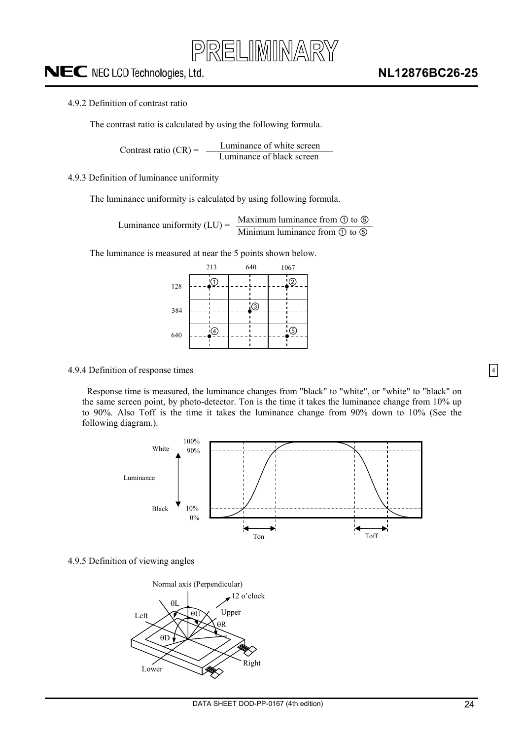

#### <span id="page-23-0"></span>4.9.2 Definition of contrast ratio

The contrast ratio is calculated by using the following formula.

Luminance of white screen Contrast ratio  $(CR) = \frac{L}{L}$  Luminance of black screen

#### 4.9.3 Definition of luminance uniformity

The luminance uniformity is calculated by using following formula.

Maximum luminance from  $\odot$  to  $\odot$ Luminance uniformity  $(LU) = \frac{Maxl (UH)}{Mini m (UH)}$  luminance from  $\odot$  to  $\odot$ 

The luminance is measured at near the 5 points shown below.

|     | 213 |     | 640     | 1067 |             |  |
|-----|-----|-----|---------|------|-------------|--|
| 128 |     | .1. |         |      | ②           |  |
| 384 |     |     | $\odot$ |      |             |  |
| 640 |     | ④   |         |      | $\circledS$ |  |

#### 4.9.4 Definition of response times

Response time is measured, the luminance changes from "black" to "white", or "white" to "black" on the same screen point, by photo-detector. Ton is the time it takes the luminance change from 10% up to 90%. Also Toff is the time it takes the luminance change from 90% down to 10% (See the following diagram.).



#### 4.9.5 Definition of viewing angles

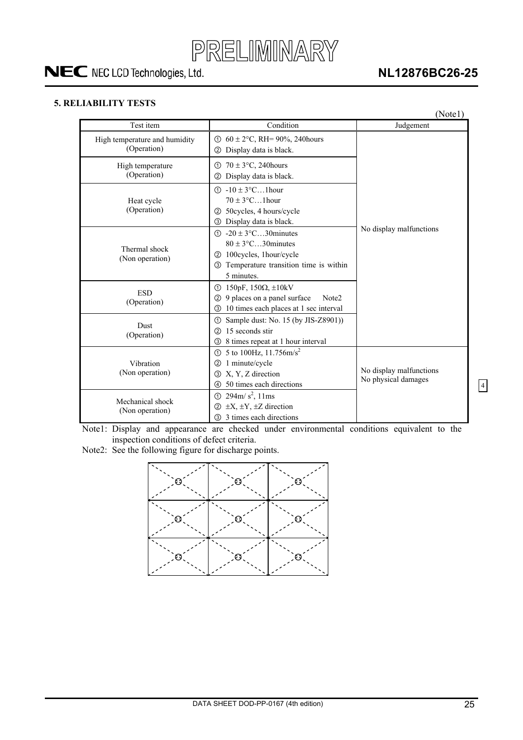

### **NL12876BC26-25**

### <span id="page-24-0"></span>**5. RELIABILITY TESTS**

|                                              |                                                                                                                                                                            | (Note1)                                        |
|----------------------------------------------|----------------------------------------------------------------------------------------------------------------------------------------------------------------------------|------------------------------------------------|
| Test item                                    | Condition                                                                                                                                                                  | Judgement                                      |
| High temperature and humidity<br>(Operation) | ① $60 \pm 2$ °C, RH= 90%, 240 hours<br>Display data is black.<br>(2)                                                                                                       |                                                |
| High temperature<br>(Operation)              | $70 \pm 3$ °C, 240 hours<br>ന<br>Display data is black.<br>$\circled{2}$                                                                                                   |                                                |
| Heat cycle<br>(Operation)                    | $(1) -10 \pm 3$ °C1 hour<br>$70 \pm 3$ °C1 hour<br>50cycles, 4 hours/cycle<br>②<br>Display data is black.<br>$\circledS$                                                   |                                                |
| Thermal shock<br>(Non operation)             | $-20 \pm 3$ °C30 minutes<br>$\bigcirc$<br>$80 \pm 3$ °C30 minutes<br>100cycles, 1hour/cycle<br>(2)<br>Temperature transition time is within<br>$\circled{3}$<br>5 minutes. | No display malfunctions                        |
| <b>ESD</b><br>(Operation)                    | 150pF, 150 $\Omega$ , $\pm$ 10kV<br>$\circ$<br>9 places on a panel surface<br>Note2<br>(2)<br>10 times each places at 1 sec interval<br>③                                  |                                                |
| Dust<br>(Operation)                          | Sample dust: No. 15 (by JIS-Z8901))<br>➀<br>15 seconds stir<br>(2)<br>8 times repeat at 1 hour interval<br>3                                                               |                                                |
| Vibration<br>(Non operation)                 | 5 to 100Hz, $11.756 \text{m/s}^2$<br>$\odot$<br>1 minute/cycle<br>(2)<br>X, Y, Z direction<br>ك<br>50 times each directions<br>4                                           | No display malfunctions<br>No physical damages |
| Mechanical shock<br>(Non operation)          | $294 \text{m/s}^2$ , 11ms<br>$\odot$<br>$\pm X$ , $\pm Y$ , $\pm Z$ direction<br>$\circled{2}$<br>3 times each directions<br>$\circled{3}$                                 |                                                |

Note1: Display and appearance are checked under environmental conditions equivalent to the inspection conditions of defect criteria.

Note2: See the following figure for discharge points.

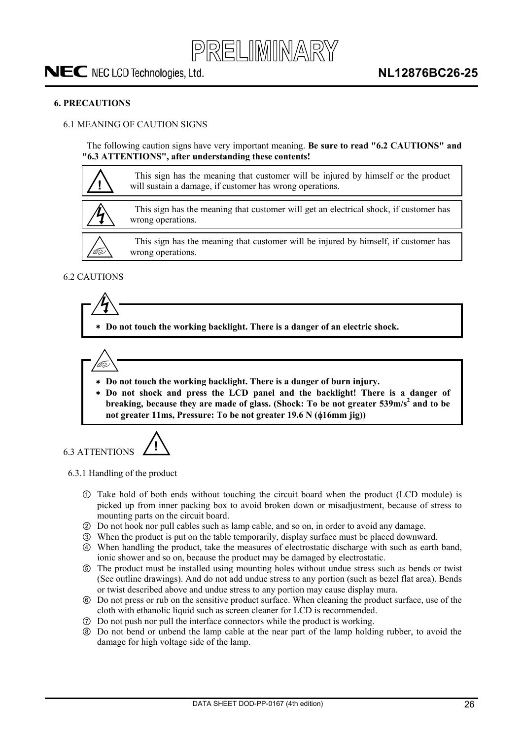#### <span id="page-25-0"></span>**6. PRECAUTIONS**

### 6.1 MEANING OF CAUTION SIGNS

The following caution signs have very important meaning. **Be sure to read "6.2 CAUTIONS" and "6.3 ATTENTIONS", after understanding these contents!** 



### 6.2 CAUTIONS

 **Do not touch the working backlight. There is a danger of an electric shock.** 

- **Do not touch the working backlight. There is a danger of burn injury.**
- **Do not shock and press the LCD panel and the backlight! There is a danger of**  breaking, because they are made of glass. (Shock: To be not greater 539m/s<sup>2</sup> and to be not greater 11ms, Pressure: To be not greater 19.6 N ( $\phi$ 16mm iig))



6.3.1 Handling of the product

- Take hold of both ends without touching the circuit board when the product (LCD module) is picked up from inner packing box to avoid broken down or misadjustment, because of stress to mounting parts on the circuit board.
- ཱ Do not hook nor pull cables such as lamp cable, and so on, in order to avoid any damage.
- ི When the product is put on the table temporarily, display surface must be placed downward.
- ཱི When handling the product, take the measures of electrostatic discharge with such as earth band, ionic shower and so on, because the product may be damaged by electrostatic.
- ུ The product must be installed using mounting holes without undue stress such as bends or twist (See outline drawings). And do not add undue stress to any portion (such as bezel flat area). Bends or twist described above and undue stress to any portion may cause display mura.
- ཱུ Do not press or rub on the sensitive product surface. When cleaning the product surface, use of the cloth with ethanolic liquid such as screen cleaner for LCD is recommended.
- ྲྀ Do not push nor pull the interface connectors while the product is working.
- ཷ Do not bend or unbend the lamp cable at the near part of the lamp holding rubber, to avoid the damage for high voltage side of the lamp.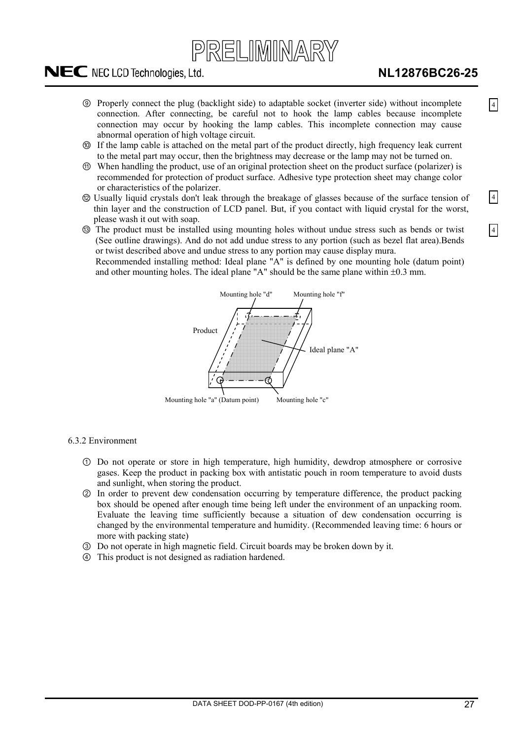# PRELIMINARY

## <span id="page-26-0"></span>NEC NEC LCD Technologies, Ltd.

4

4

4

- ླྀ Properly connect the plug (backlight side) to adaptable socket (inverter side) without incomplete connection. After connecting, be careful not to hook the lamp cables because incomplete connection may occur by hooking the lamp cables. This incomplete connection may cause abnormal operation of high voltage circuit.
- ཹ If the lamp cable is attached on the metal part of the product directly, high frequency leak current to the metal part may occur, then the brightness may decrease or the lamp may not be turned on.
- ེ When handling the product, use of an original protection sheet on the product surface (polarizer) is recommended for protection of product surface. Adhesive type protection sheet may change color or characteristics of the polarizer.
- ཻUsually liquid crystals don't leak through the breakage of glasses because of the surface tension of thin layer and the construction of LCD panel. But, if you contact with liquid crystal for the worst, please wash it out with soap.
- ོ The product must be installed using mounting holes without undue stress such as bends or twist (See outline drawings). And do not add undue stress to any portion (such as bezel flat area).Bends or twist described above and undue stress to any portion may cause display mura. Recommended installing method: Ideal plane "A" is defined by one mounting hole (datum point) and other mounting holes. The ideal plane "A" should be the same plane within  $\pm 0.3$  mm.



6.3.2 Environment

- Do not operate or store in high temperature, high humidity, dewdrop atmosphere or corrosive gases. Keep the product in packing box with antistatic pouch in room temperature to avoid dusts and sunlight, when storing the product.
- ཱ In order to prevent dew condensation occurring by temperature difference, the product packing box should be opened after enough time being left under the environment of an unpacking room. Evaluate the leaving time sufficiently because a situation of dew condensation occurring is changed by the environmental temperature and humidity. (Recommended leaving time: 6 hours or more with packing state)
- ི Do not operate in high magnetic field. Circuit boards may be broken down by it.
- ཱི This product is not designed as radiation hardened.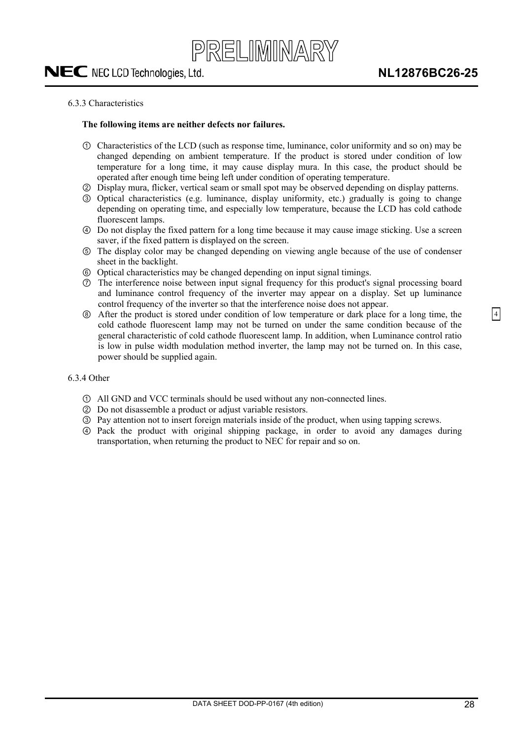#### <span id="page-27-0"></span>6.3.3 Characteristics

#### **The following items are neither defects nor failures.**

- Characteristics of the LCD (such as response time, luminance, color uniformity and so on) may be changed depending on ambient temperature. If the product is stored under condition of low temperature for a long time, it may cause display mura. In this case, the product should be operated after enough time being left under condition of operating temperature.
- ཱ Display mura, flicker, vertical seam or small spot may be observed depending on display patterns.
- ི Optical characteristics (e.g. luminance, display uniformity, etc.) gradually is going to change depending on operating time, and especially low temperature, because the LCD has cold cathode fluorescent lamps.
- ཱི Do not display the fixed pattern for a long time because it may cause image sticking. Use a screen saver, if the fixed pattern is displayed on the screen.
- ུ The display color may be changed depending on viewing angle because of the use of condenser sheet in the backlight.
- ཱུ Optical characteristics may be changed depending on input signal timings.
- ྲྀ The interference noise between input signal frequency for this product's signal processing board and luminance control frequency of the inverter may appear on a display. Set up luminance control frequency of the inverter so that the interference noise does not appear.
- ཷ After the product is stored under condition of low temperature or dark place for a long time, the cold cathode fluorescent lamp may not be turned on under the same condition because of the general characteristic of cold cathode fluorescent lamp. In addition, when Luminance control ratio is low in pulse width modulation method inverter, the lamp may not be turned on. In this case, power should be supplied again.

#### 6.3.4 Other

- All GND and VCC terminals should be used without any non-connected lines.
- ཱ Do not disassemble a product or adjust variable resistors.
- ི Pay attention not to insert foreign materials inside of the product, when using tapping screws.
- ཱི Pack the product with original shipping package, in order to avoid any damages during transportation, when returning the product to NEC for repair and so on.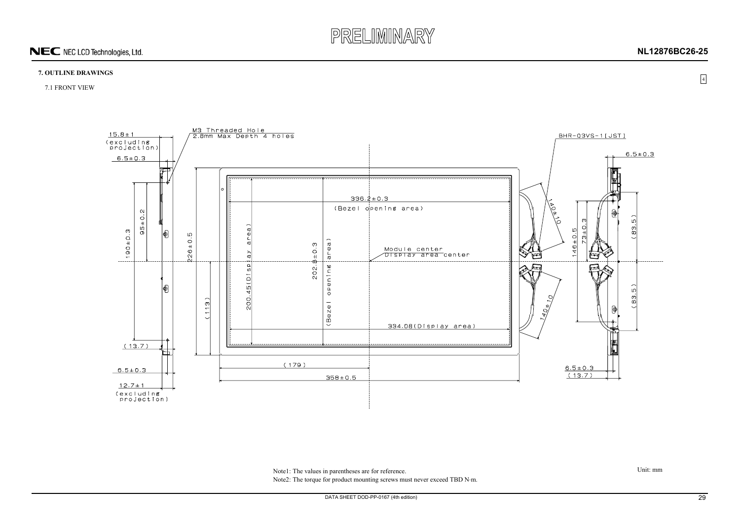

<span id="page-28-0"></span>Note1: The values in parentheses are for reference. Note2: The torque for product mounting screws must never exceed TBD N·m.

### **7. OUTLINE DRAWINGS**

7.1 FRONT VIEW



Unit: mm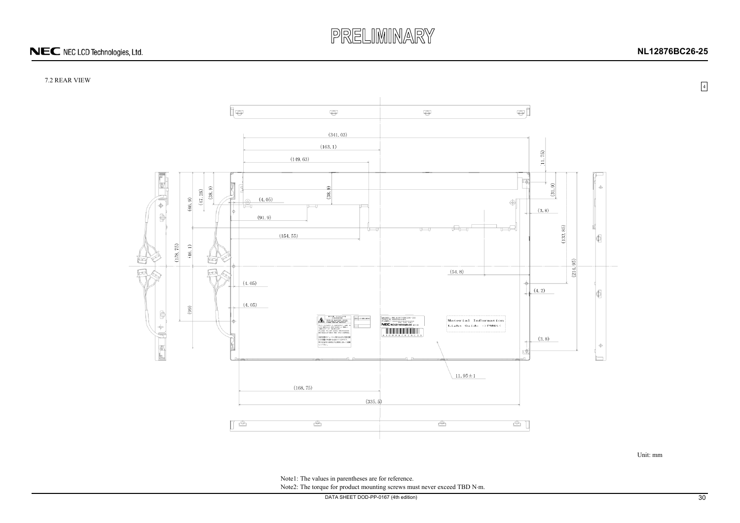# PRELIMINARY

## NEC NEC LCD Technologies, Ltd.

<span id="page-29-0"></span>Note1: The values in parentheses are for reference. Note2: The torque for product mounting screws must never exceed TBD N·m.

DATA SHEET DOD-PP-0167 (4th edition) 30

### 7.2 REAR VIEW



Unit: mm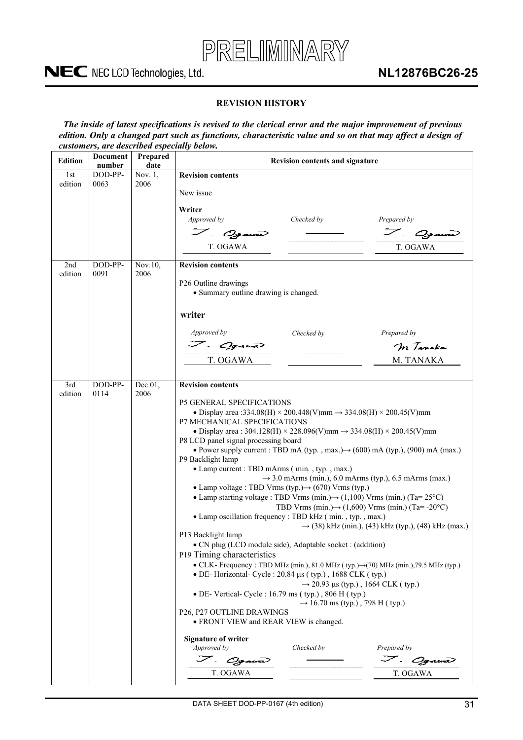

### **REVISION HISTORY**

<span id="page-30-0"></span>*The inside of latest specifications is revised to the clerical error and the major improvement of previous edition. Only a changed part such as functions, characteristic value and so on that may affect a design of customers, are described especially below.* 

| <b>Edition</b> | <b>Document</b><br>number | Prepared<br>date   | <b>Revision contents and signature</b>                                                                                                                                                                                                                                                                                                                                                                                                                                                                                                                                                                                                                                                                                                                                                                                                                                                                                                                                                                                                                                                                                                                                                                                                                                                                                                                                                                                                                                                                                                                            |
|----------------|---------------------------|--------------------|-------------------------------------------------------------------------------------------------------------------------------------------------------------------------------------------------------------------------------------------------------------------------------------------------------------------------------------------------------------------------------------------------------------------------------------------------------------------------------------------------------------------------------------------------------------------------------------------------------------------------------------------------------------------------------------------------------------------------------------------------------------------------------------------------------------------------------------------------------------------------------------------------------------------------------------------------------------------------------------------------------------------------------------------------------------------------------------------------------------------------------------------------------------------------------------------------------------------------------------------------------------------------------------------------------------------------------------------------------------------------------------------------------------------------------------------------------------------------------------------------------------------------------------------------------------------|
| 1st<br>edition | DOD-PP-<br>0063           | Nov. 1,<br>2006    | <b>Revision contents</b>                                                                                                                                                                                                                                                                                                                                                                                                                                                                                                                                                                                                                                                                                                                                                                                                                                                                                                                                                                                                                                                                                                                                                                                                                                                                                                                                                                                                                                                                                                                                          |
|                |                           |                    | New issue                                                                                                                                                                                                                                                                                                                                                                                                                                                                                                                                                                                                                                                                                                                                                                                                                                                                                                                                                                                                                                                                                                                                                                                                                                                                                                                                                                                                                                                                                                                                                         |
|                |                           |                    | Writer<br>Checked by<br>Approved by<br>Prepared by                                                                                                                                                                                                                                                                                                                                                                                                                                                                                                                                                                                                                                                                                                                                                                                                                                                                                                                                                                                                                                                                                                                                                                                                                                                                                                                                                                                                                                                                                                                |
|                |                           |                    | I . Ogawa<br>I . Ogwad                                                                                                                                                                                                                                                                                                                                                                                                                                                                                                                                                                                                                                                                                                                                                                                                                                                                                                                                                                                                                                                                                                                                                                                                                                                                                                                                                                                                                                                                                                                                            |
|                |                           |                    | T. OGAWA<br>T. OGAWA                                                                                                                                                                                                                                                                                                                                                                                                                                                                                                                                                                                                                                                                                                                                                                                                                                                                                                                                                                                                                                                                                                                                                                                                                                                                                                                                                                                                                                                                                                                                              |
| 2nd            | DOD-PP-                   | Nov.10,            | <b>Revision contents</b>                                                                                                                                                                                                                                                                                                                                                                                                                                                                                                                                                                                                                                                                                                                                                                                                                                                                                                                                                                                                                                                                                                                                                                                                                                                                                                                                                                                                                                                                                                                                          |
| edition        | 0091                      | 2006               | P <sub>26</sub> Outline drawings<br>• Summary outline drawing is changed.                                                                                                                                                                                                                                                                                                                                                                                                                                                                                                                                                                                                                                                                                                                                                                                                                                                                                                                                                                                                                                                                                                                                                                                                                                                                                                                                                                                                                                                                                         |
|                |                           |                    | writer                                                                                                                                                                                                                                                                                                                                                                                                                                                                                                                                                                                                                                                                                                                                                                                                                                                                                                                                                                                                                                                                                                                                                                                                                                                                                                                                                                                                                                                                                                                                                            |
|                |                           |                    | Approved by<br>Prepared by<br>Checked by                                                                                                                                                                                                                                                                                                                                                                                                                                                                                                                                                                                                                                                                                                                                                                                                                                                                                                                                                                                                                                                                                                                                                                                                                                                                                                                                                                                                                                                                                                                          |
|                |                           |                    | I . Ogawa)<br>m. Tanaka                                                                                                                                                                                                                                                                                                                                                                                                                                                                                                                                                                                                                                                                                                                                                                                                                                                                                                                                                                                                                                                                                                                                                                                                                                                                                                                                                                                                                                                                                                                                           |
|                |                           |                    | T. OGAWA<br>M. TANAKA                                                                                                                                                                                                                                                                                                                                                                                                                                                                                                                                                                                                                                                                                                                                                                                                                                                                                                                                                                                                                                                                                                                                                                                                                                                                                                                                                                                                                                                                                                                                             |
| 3rd<br>edition | DOD-PP-<br>0114           | $Dec.01$ ,<br>2006 | <b>Revision contents</b>                                                                                                                                                                                                                                                                                                                                                                                                                                                                                                                                                                                                                                                                                                                                                                                                                                                                                                                                                                                                                                                                                                                                                                                                                                                                                                                                                                                                                                                                                                                                          |
|                |                           |                    | <b>P5 GENERAL SPECIFICATIONS</b><br>• Display area :334.08(H) $\times$ 200.448(V)mm $\rightarrow$ 334.08(H) $\times$ 200.45(V)mm<br>P7 MECHANICAL SPECIFICATIONS<br>• Display area : 304.128(H) $\times$ 228.096(V)mm $\rightarrow$ 334.08(H) $\times$ 200.45(V)mm<br>P8 LCD panel signal processing board<br>• Power supply current : TBD mA (typ., max.) $\rightarrow$ (600) mA (typ.), (900) mA (max.)<br>P9 Backlight lamp<br>• Lamp current : TBD mArms (min., typ., max.)<br>$\rightarrow$ 3.0 mArms (min.), 6.0 mArms (typ.), 6.5 mArms (max.)<br>• Lamp voltage : TBD Vrms (typ.) $\rightarrow$ (670) Vrms (typ.)<br>• Lamp starting voltage : TBD Vrms (min.) $\rightarrow$ (1,100) Vrms (min.) (Ta= 25°C)<br>TBD Vrms (min.) $\rightarrow$ (1,600) Vrms (min.) (Ta= -20°C)<br>• Lamp oscillation frequency : TBD kHz (min., typ., max.)<br>$\rightarrow$ (38) kHz (min.), (43) kHz (typ.), (48) kHz (max.)<br>P13 Backlight lamp<br>• CN plug (LCD module side), Adaptable socket : (addition)<br>P19 Timing characteristics<br>• CLK- Frequency: TBD MHz (min.), 81.0 MHz (typ.)->(70) MHz (min.), 79.5 MHz (typ.)<br>• DE-Horizontal- Cycle : 20.84 µs (typ.), 1688 CLK (typ.)<br>$\rightarrow$ 20.93 µs (typ.), 1664 CLK (typ.)<br>• DE- Vertical- Cycle : $16.79$ ms (typ.), $806$ H (typ.)<br>$\rightarrow$ 16.70 ms (typ.), 798 H (typ.)<br>P26, P27 OUTLINE DRAWINGS<br>• FRONT VIEW and REAR VIEW is changed.<br><b>Signature of writer</b><br>Checked by<br>Approved by<br>Prepared by<br>I . Og awa $\,$<br>I . Ogwac<br>T. OGAWA<br>T. OGAWA |